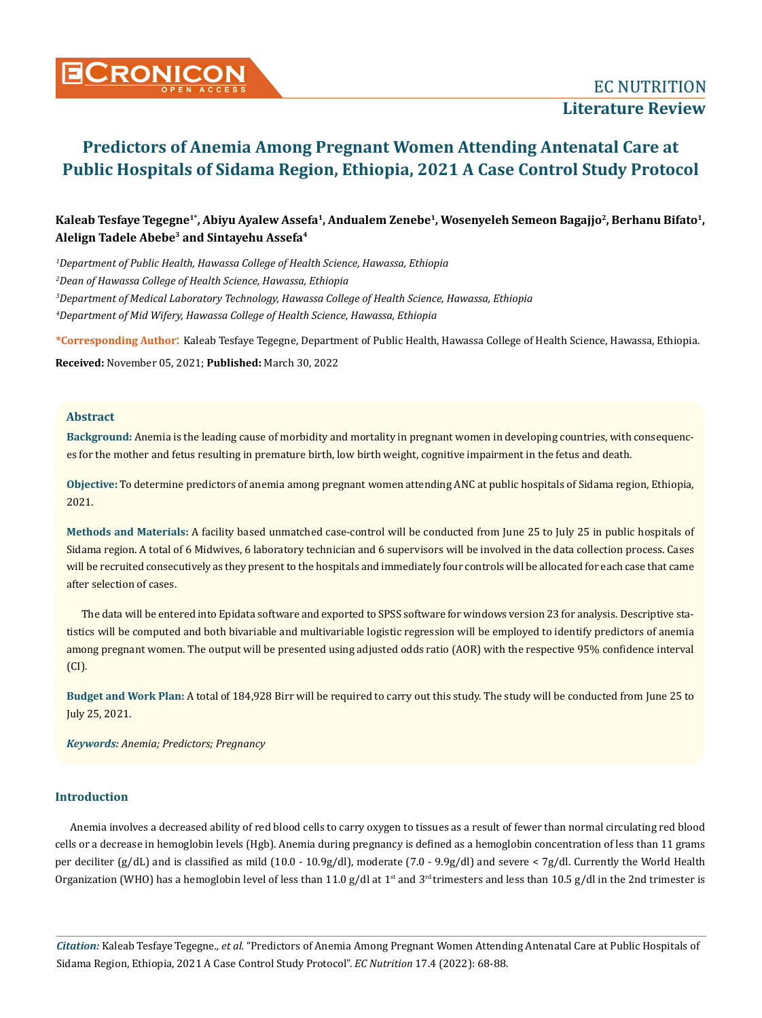

# Kaleab Tesfaye Tegegne<sup>1\*</sup>, Abiyu Ayalew Assefa<sup>1</sup>, Andualem Zenebe<sup>1</sup>, Wosenyeleh Semeon Bagajjo<sup>2</sup>, Berhanu Bifato<sup>1</sup>, **Alelign Tadele Abebe3 and Sintayehu Assefa4**

 *Department of Public Health, Hawassa College of Health Science, Hawassa, Ethiopia Dean of Hawassa College of Health Science, Hawassa, Ethiopia Department of Medical Laboratory Technology, Hawassa College of Health Science, Hawassa, Ethiopia Department of Mid Wifery, Hawassa College of Health Science, Hawassa, Ethiopia*

**\*Corresponding Author**: Kaleab Tesfaye Tegegne, Department of Public Health, Hawassa College of Health Science, Hawassa, Ethiopia.

**Received:** November 05, 2021; **Published:** March 30, 2022

# **Abstract**

**Background:** Anemia is the leading cause of morbidity and mortality in pregnant women in developing countries, with consequences for the mother and fetus resulting in premature birth, low birth weight, cognitive impairment in the fetus and death.

**Objective:** To determine predictors of anemia among pregnant women attending ANC at public hospitals of Sidama region, Ethiopia, 2021.

**Methods and Materials:** A facility based unmatched case-control will be conducted from June 25 to July 25 in public hospitals of Sidama region. A total of 6 Midwives, 6 laboratory technician and 6 supervisors will be involved in the data collection process. Cases will be recruited consecutively as they present to the hospitals and immediately four controls will be allocated for each case that came after selection of cases.

The data will be entered into Epidata software and exported to SPSS software for windows version 23 for analysis. Descriptive statistics will be computed and both bivariable and multivariable logistic regression will be employed to identify predictors of anemia among pregnant women. The output will be presented using adjusted odds ratio (AOR) with the respective 95% confidence interval (CI).

**Budget and Work Plan:** A total of 184,928 Birr will be required to carry out this study. The study will be conducted from June 25 to July 25, 2021.

*Keywords: Anemia; Predictors; Pregnancy*

# **Introduction**

Anemia involves a decreased ability of red blood cells to carry oxygen to tissues as a result of fewer than normal circulating red blood cells or a decrease in hemoglobin levels (Hgb). Anemia during pregnancy is defined as a hemoglobin concentration of less than 11 grams per deciliter (g/dL) and is classified as mild (10.0 - 10.9g/dl), moderate (7.0 - 9.9g/dl) and severe < 7g/dl. Currently the World Health Organization (WHO) has a hemoglobin level of less than 11.0 g/dl at 1<sup>st</sup> and 3<sup>rd</sup> trimesters and less than 10.5 g/dl in the 2nd trimester is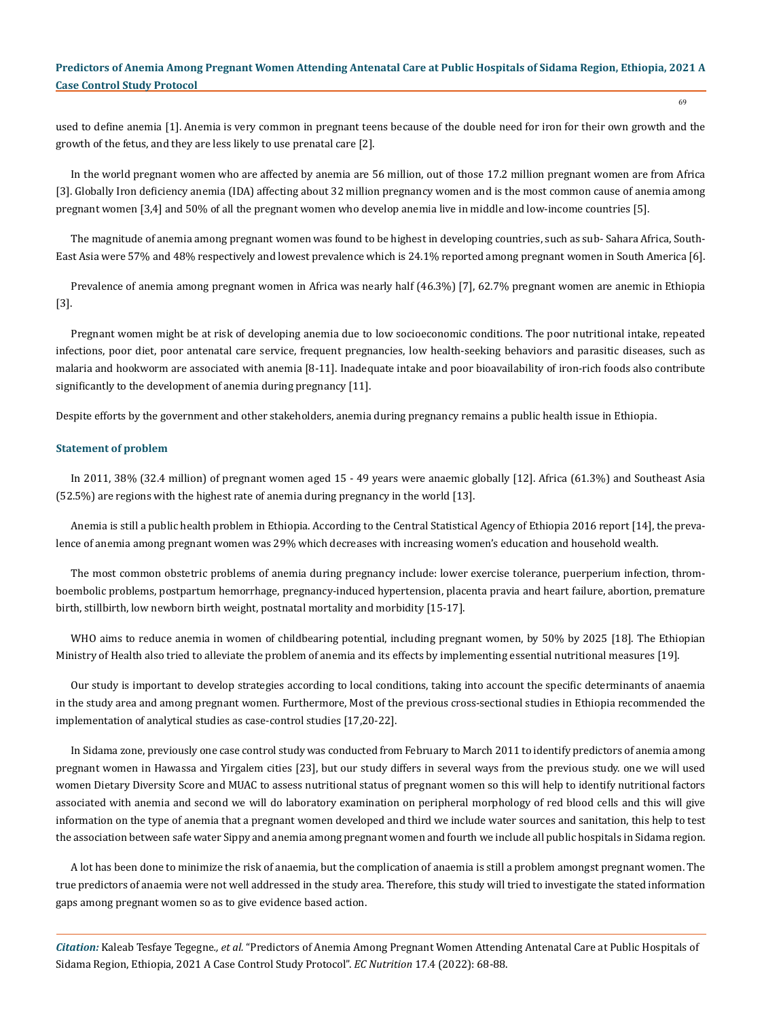used to define anemia [1]. Anemia is very common in pregnant teens because of the double need for iron for their own growth and the growth of the fetus, and they are less likely to use prenatal care [2].

In the world pregnant women who are affected by anemia are 56 million, out of those 17.2 million pregnant women are from Africa [3]. Globally Iron deficiency anemia (IDA) affecting about 32 million pregnancy women and is the most common cause of anemia among pregnant women [3,4] and 50% of all the pregnant women who develop anemia live in middle and low-income countries [5].

The magnitude of anemia among pregnant women was found to be highest in developing countries, such as sub- Sahara Africa, South-East Asia were 57% and 48% respectively and lowest prevalence which is 24.1% reported among pregnant women in South America [6].

Prevalence of anemia among pregnant women in Africa was nearly half (46.3%) [7], 62.7% pregnant women are anemic in Ethiopia [3].

Pregnant women might be at risk of developing anemia due to low socioeconomic conditions. The poor nutritional intake, repeated infections, poor diet, poor antenatal care service, frequent pregnancies, low health-seeking behaviors and parasitic diseases, such as malaria and hookworm are associated with anemia [8-11]. Inadequate intake and poor bioavailability of iron-rich foods also contribute significantly to the development of anemia during pregnancy [11].

Despite efforts by the government and other stakeholders, anemia during pregnancy remains a public health issue in Ethiopia.

### **Statement of problem**

In 2011, 38% (32.4 million) of pregnant women aged 15 - 49 years were anaemic globally [12]. Africa (61.3%) and Southeast Asia (52.5%) are regions with the highest rate of anemia during pregnancy in the world [13].

Anemia is still a public health problem in Ethiopia. According to the Central Statistical Agency of Ethiopia 2016 report [14], the prevalence of anemia among pregnant women was 29% which decreases with increasing women's education and household wealth.

The most common obstetric problems of anemia during pregnancy include: lower exercise tolerance, puerperium infection, thromboembolic problems, postpartum hemorrhage, pregnancy-induced hypertension, placenta pravia and heart failure, abortion, premature birth, stillbirth, low newborn birth weight, postnatal mortality and morbidity [15-17].

WHO aims to reduce anemia in women of childbearing potential, including pregnant women, by 50% by 2025 [18]. The Ethiopian Ministry of Health also tried to alleviate the problem of anemia and its effects by implementing essential nutritional measures [19].

Our study is important to develop strategies according to local conditions, taking into account the specific determinants of anaemia in the study area and among pregnant women. Furthermore, Most of the previous cross-sectional studies in Ethiopia recommended the implementation of analytical studies as case-control studies [17,20-22].

In Sidama zone, previously one case control study was conducted from February to March 2011 to identify predictors of anemia among pregnant women in Hawassa and Yirgalem cities [23], but our study differs in several ways from the previous study. one we will used women Dietary Diversity Score and MUAC to assess nutritional status of pregnant women so this will help to identify nutritional factors associated with anemia and second we will do laboratory examination on peripheral morphology of red blood cells and this will give information on the type of anemia that a pregnant women developed and third we include water sources and sanitation, this help to test the association between safe water Sippy and anemia among pregnant women and fourth we include all public hospitals in Sidama region.

A lot has been done to minimize the risk of anaemia, but the complication of anaemia is still a problem amongst pregnant women. The true predictors of anaemia were not well addressed in the study area. Therefore, this study will tried to investigate the stated information gaps among pregnant women so as to give evidence based action.

*Citation:* Kaleab Tesfaye Tegegne*., et al.* "Predictors of Anemia Among Pregnant Women Attending Antenatal Care at Public Hospitals of Sidama Region, Ethiopia, 2021 A Case Control Study Protocol". *EC Nutrition* 17.4 (2022): 68-88.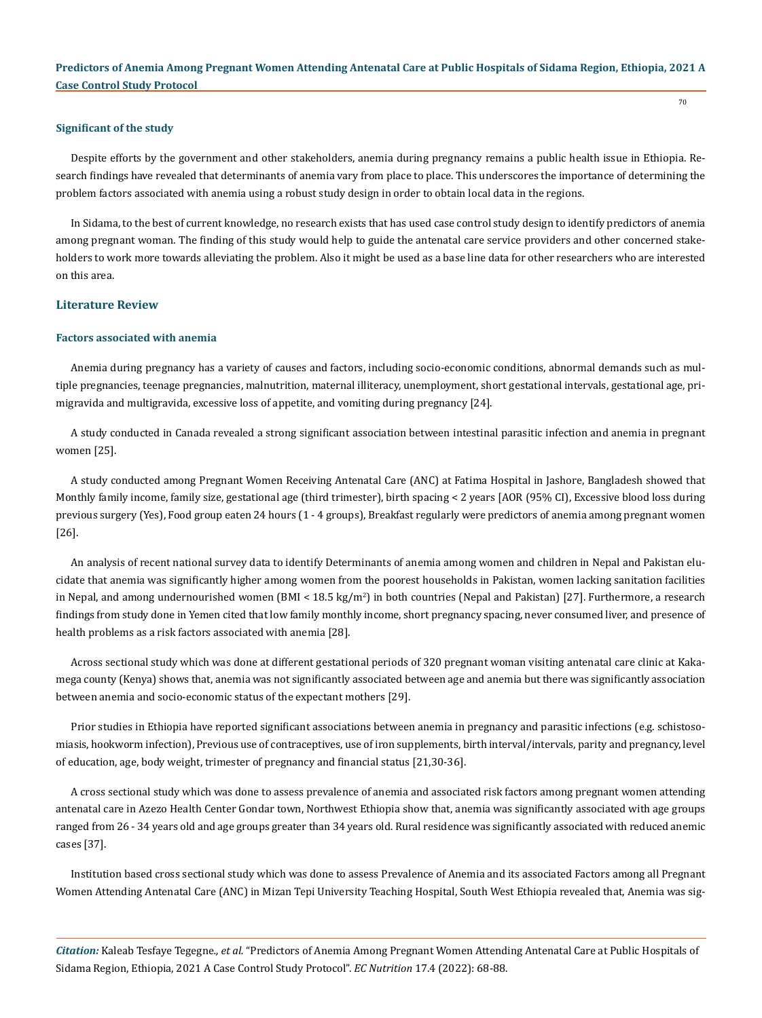#### **Significant of the study**

Despite efforts by the government and other stakeholders, anemia during pregnancy remains a public health issue in Ethiopia. Research findings have revealed that determinants of anemia vary from place to place. This underscores the importance of determining the problem factors associated with anemia using a robust study design in order to obtain local data in the regions.

In Sidama, to the best of current knowledge, no research exists that has used case control study design to identify predictors of anemia among pregnant woman. The finding of this study would help to guide the antenatal care service providers and other concerned stakeholders to work more towards alleviating the problem. Also it might be used as a base line data for other researchers who are interested on this area.

### **Literature Review**

### **Factors associated with anemia**

Anemia during pregnancy has a variety of causes and factors, including socio-economic conditions, abnormal demands such as multiple pregnancies, teenage pregnancies, malnutrition, maternal illiteracy, unemployment, short gestational intervals, gestational age, primigravida and multigravida, excessive loss of appetite, and vomiting during pregnancy [24].

A study conducted in Canada revealed a strong significant association between intestinal parasitic infection and anemia in pregnant women [25].

A study conducted among Pregnant Women Receiving Antenatal Care (ANC) at Fatima Hospital in Jashore, Bangladesh showed that Monthly family income, family size, gestational age (third trimester), birth spacing < 2 years [AOR (95% CI), Excessive blood loss during previous surgery (Yes), Food group eaten 24 hours (1 - 4 groups), Breakfast regularly were predictors of anemia among pregnant women [26].

An analysis of recent national survey data to identify Determinants of anemia among women and children in Nepal and Pakistan elucidate that anemia was significantly higher among women from the poorest households in Pakistan, women lacking sanitation facilities in Nepal, and among undernourished women (BMI < 18.5 kg/m<sup>2</sup> ) in both countries (Nepal and Pakistan) [27]. Furthermore, a research findings from study done in Yemen cited that low family monthly income, short pregnancy spacing, never consumed liver, and presence of health problems as a risk factors associated with anemia [28].

Across sectional study which was done at different gestational periods of 320 pregnant woman visiting antenatal care clinic at Kakamega county (Kenya) shows that, anemia was not significantly associated between age and anemia but there was significantly association between anemia and socio-economic status of the expectant mothers [29].

Prior studies in Ethiopia have reported significant associations between anemia in pregnancy and parasitic infections (e.g. schistosomiasis, hookworm infection), Previous use of contraceptives, use of iron supplements, birth interval/intervals, parity and pregnancy, level of education, age, body weight, trimester of pregnancy and financial status [21,30-36].

A cross sectional study which was done to assess prevalence of anemia and associated risk factors among pregnant women attending antenatal care in Azezo Health Center Gondar town, Northwest Ethiopia show that, anemia was significantly associated with age groups ranged from 26 - 34 years old and age groups greater than 34 years old. Rural residence was significantly associated with reduced anemic cases [37].

Institution based cross sectional study which was done to assess Prevalence of Anemia and its associated Factors among all Pregnant Women Attending Antenatal Care (ANC) in Mizan Tepi University Teaching Hospital, South West Ethiopia revealed that, Anemia was sig-

*Citation:* Kaleab Tesfaye Tegegne*., et al.* "Predictors of Anemia Among Pregnant Women Attending Antenatal Care at Public Hospitals of Sidama Region, Ethiopia, 2021 A Case Control Study Protocol". *EC Nutrition* 17.4 (2022): 68-88.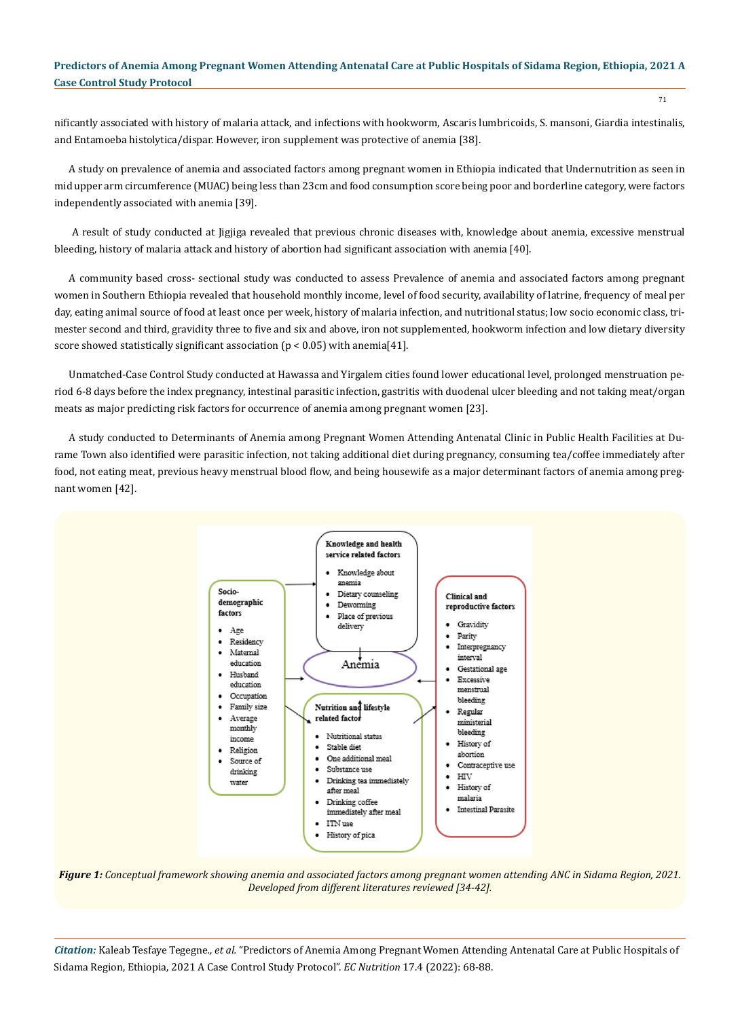nificantly associated with history of malaria attack, and infections with hookworm, Ascaris lumbricoids, S. mansoni, Giardia intestinalis, and Entamoeba histolytica/dispar. However, iron supplement was protective of anemia [38].

A study on prevalence of anemia and associated factors among pregnant women in Ethiopia indicated that Undernutrition as seen in mid upper arm circumference (MUAC) being less than 23cm and food consumption score being poor and borderline category, were factors independently associated with anemia [39].

 A result of study conducted at Jigjiga revealed that previous chronic diseases with, knowledge about anemia, excessive menstrual bleeding, history of malaria attack and history of abortion had significant association with anemia [40].

A community based cross- sectional study was conducted to assess Prevalence of anemia and associated factors among pregnant women in Southern Ethiopia revealed that household monthly income, level of food security, availability of latrine, frequency of meal per day, eating animal source of food at least once per week, history of malaria infection, and nutritional status; low socio economic class, trimester second and third, gravidity three to five and six and above, iron not supplemented, hookworm infection and low dietary diversity score showed statistically significant association ( $p < 0.05$ ) with anemia<sup>[41]</sup>.

Unmatched-Case Control Study conducted at Hawassa and Yirgalem cities found lower educational level, prolonged menstruation period 6-8 days before the index pregnancy, intestinal parasitic infection, gastritis with duodenal ulcer bleeding and not taking meat/organ meats as major predicting risk factors for occurrence of anemia among pregnant women [23].

A study conducted to Determinants of Anemia among Pregnant Women Attending Antenatal Clinic in Public Health Facilities at Durame Town also identified were parasitic infection, not taking additional diet during pregnancy, consuming tea/coffee immediately after food, not eating meat, previous heavy menstrual blood flow, and being housewife as a major determinant factors of anemia among pregnant women [42].



*Figure 1: Conceptual framework showing anemia and associated factors among pregnant women attending ANC in Sidama Region, 2021. Developed from different literatures reviewed [34-42].*

*Citation:* Kaleab Tesfaye Tegegne*., et al.* "Predictors of Anemia Among Pregnant Women Attending Antenatal Care at Public Hospitals of Sidama Region, Ethiopia, 2021 A Case Control Study Protocol". *EC Nutrition* 17.4 (2022): 68-88.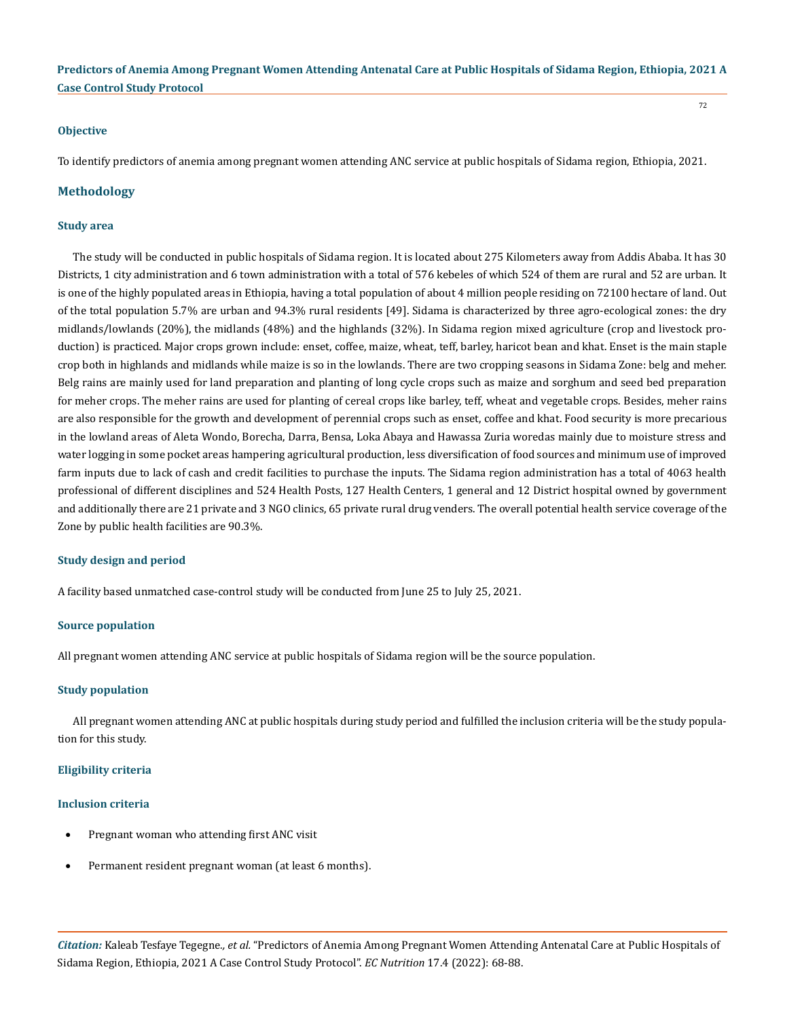### **Objective**

To identify predictors of anemia among pregnant women attending ANC service at public hospitals of Sidama region, Ethiopia, 2021.

# **Methodology**

#### **Study area**

The study will be conducted in public hospitals of Sidama region. It is located about 275 Kilometers away from Addis Ababa. It has 30 Districts, 1 city administration and 6 town administration with a total of 576 kebeles of which 524 of them are rural and 52 are urban. It is one of the highly populated areas in Ethiopia, having a total population of about 4 million people residing on 72100 hectare of land. Out of the total population 5.7% are urban and 94.3% rural residents [49]. Sidama is characterized by three agro-ecological zones: the dry midlands/lowlands (20%), the midlands (48%) and the highlands (32%). In Sidama region mixed agriculture (crop and livestock production) is practiced. Major crops grown include: enset, coffee, maize, wheat, teff, barley, haricot bean and khat. Enset is the main staple crop both in highlands and midlands while maize is so in the lowlands. There are two cropping seasons in Sidama Zone: belg and meher. Belg rains are mainly used for land preparation and planting of long cycle crops such as maize and sorghum and seed bed preparation for meher crops. The meher rains are used for planting of cereal crops like barley, teff, wheat and vegetable crops. Besides, meher rains are also responsible for the growth and development of perennial crops such as enset, coffee and khat. Food security is more precarious in the lowland areas of Aleta Wondo, Borecha, Darra, Bensa, Loka Abaya and Hawassa Zuria woredas mainly due to moisture stress and water logging in some pocket areas hampering agricultural production, less diversification of food sources and minimum use of improved farm inputs due to lack of cash and credit facilities to purchase the inputs. The Sidama region administration has a total of 4063 health professional of different disciplines and 524 Health Posts, 127 Health Centers, 1 general and 12 District hospital owned by government and additionally there are 21 private and 3 NGO clinics, 65 private rural drug venders. The overall potential health service coverage of the Zone by public health facilities are 90.3%.

### **Study design and period**

A facility based unmatched case-control study will be conducted from June 25 to July 25, 2021.

#### **Source population**

All pregnant women attending ANC service at public hospitals of Sidama region will be the source population.

#### **Study population**

All pregnant women attending ANC at public hospitals during study period and fulfilled the inclusion criteria will be the study population for this study.

#### **Eligibility criteria**

# **Inclusion criteria**

- Pregnant woman who attending first ANC visit
- Permanent resident pregnant woman (at least 6 months).

*Citation:* Kaleab Tesfaye Tegegne*., et al.* "Predictors of Anemia Among Pregnant Women Attending Antenatal Care at Public Hospitals of Sidama Region, Ethiopia, 2021 A Case Control Study Protocol". *EC Nutrition* 17.4 (2022): 68-88.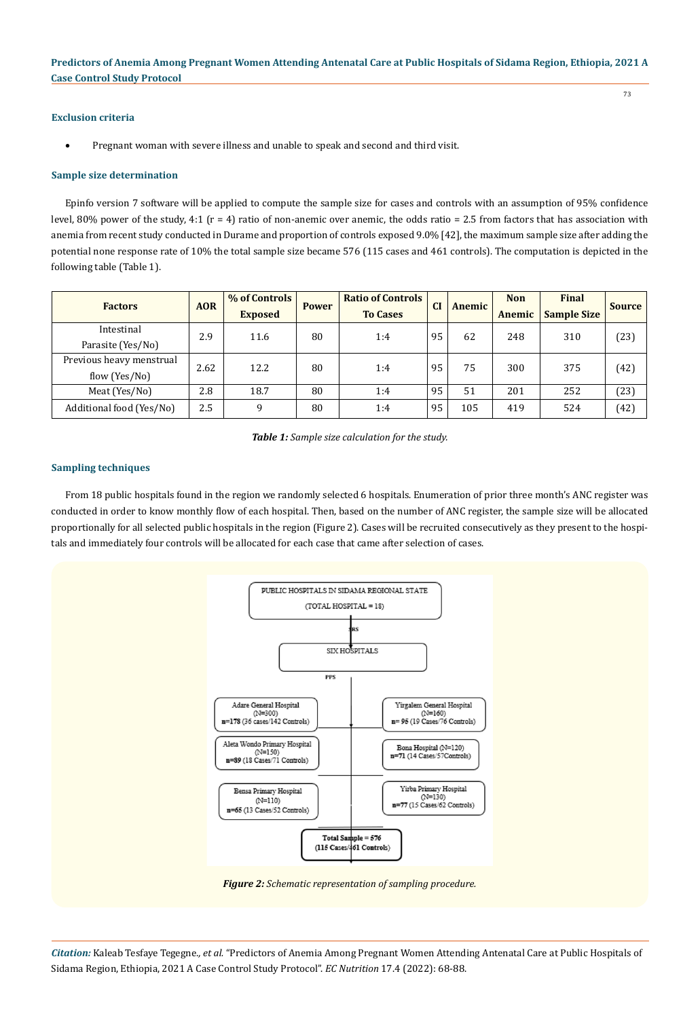# **Exclusion criteria**

Pregnant woman with severe illness and unable to speak and second and third visit.

### **Sample size determination**

Epinfo version 7 software will be applied to compute the sample size for cases and controls with an assumption of 95% confidence level, 80% power of the study, 4:1 ( $r = 4$ ) ratio of non-anemic over anemic, the odds ratio = 2.5 from factors that has association with anemia from recent study conducted in Durame and proportion of controls exposed 9.0% [42], the maximum sample size after adding the potential none response rate of 10% the total sample size became 576 (115 cases and 461 controls). The computation is depicted in the following table (Table 1).

| <b>Factors</b>           | <b>AOR</b> | % of Controls  | <b>Power</b> | <b>Ratio of Controls</b> | <b>CI</b> | Anemic | <b>Non</b> | <b>Final</b>       | <b>Source</b> |
|--------------------------|------------|----------------|--------------|--------------------------|-----------|--------|------------|--------------------|---------------|
|                          |            | <b>Exposed</b> |              | <b>To Cases</b>          |           |        | Anemic     | <b>Sample Size</b> |               |
| Intestinal               | 2.9        | 11.6           | 80           | 1:4                      | 95        | 62     | 248        | 310                | (23)          |
| Parasite (Yes/No)        |            |                |              |                          |           |        |            |                    |               |
| Previous heavy menstrual | 2.62       | 12.2           | 80           | 1:4                      | 95        | 75     | 300        | 375                | (42)          |
| flow (Yes/No)            |            |                |              |                          |           |        |            |                    |               |
| Meat (Yes/No)            | 2.8        | 18.7           | 80           | 1:4                      | 95        | 51     | 201        | 252                | (23)          |
| Additional food (Yes/No) | 2.5        | 9              | 80           | 1:4                      | 95        | 105    | 419        | 524                | (42)          |



# **Sampling techniques**

From 18 public hospitals found in the region we randomly selected 6 hospitals. Enumeration of prior three month's ANC register was conducted in order to know monthly flow of each hospital. Then, based on the number of ANC register, the sample size will be allocated proportionally for all selected public hospitals in the region (Figure 2). Cases will be recruited consecutively as they present to the hospitals and immediately four controls will be allocated for each case that came after selection of cases.



*Figure 2: Schematic representation of sampling procedure.*

*Citation:* Kaleab Tesfaye Tegegne*., et al.* "Predictors of Anemia Among Pregnant Women Attending Antenatal Care at Public Hospitals of Sidama Region, Ethiopia, 2021 A Case Control Study Protocol". *EC Nutrition* 17.4 (2022): 68-88.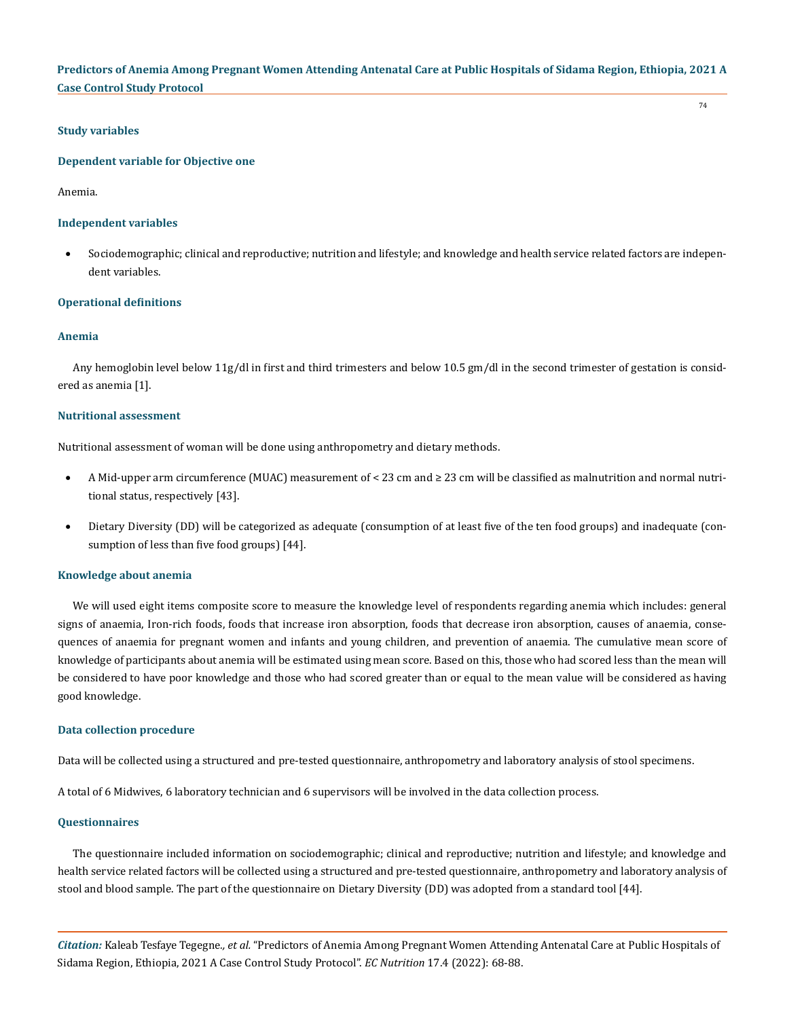74

### **Study variables**

### **Dependent variable for Objective one**

Anemia.

### **Independent variables**

Sociodemographic; clinical and reproductive; nutrition and lifestyle; and knowledge and health service related factors are independent variables.

### **Operational definitions**

## **Anemia**

Any hemoglobin level below 11g/dl in first and third trimesters and below 10.5 gm/dl in the second trimester of gestation is considered as anemia [1].

### **Nutritional assessment**

Nutritional assessment of woman will be done using anthropometry and dietary methods.

- A Mid-upper arm circumference (MUAC) measurement of < 23 cm and  $\geq$  23 cm will be classified as malnutrition and normal nutritional status, respectively [43].
- Dietary Diversity (DD) will be categorized as adequate (consumption of at least five of the ten food groups) and inadequate (consumption of less than five food groups) [44].

### **Knowledge about anemia**

We will used eight items composite score to measure the knowledge level of respondents regarding anemia which includes: general signs of anaemia, Iron-rich foods, foods that increase iron absorption, foods that decrease iron absorption, causes of anaemia, consequences of anaemia for pregnant women and infants and young children, and prevention of anaemia. The cumulative mean score of knowledge of participants about anemia will be estimated using mean score. Based on this, those who had scored less than the mean will be considered to have poor knowledge and those who had scored greater than or equal to the mean value will be considered as having good knowledge.

### **Data collection procedure**

Data will be collected using a structured and pre-tested questionnaire, anthropometry and laboratory analysis of stool specimens.

A total of 6 Midwives, 6 laboratory technician and 6 supervisors will be involved in the data collection process.

### **Questionnaires**

The questionnaire included information on sociodemographic; clinical and reproductive; nutrition and lifestyle; and knowledge and health service related factors will be collected using a structured and pre-tested questionnaire, anthropometry and laboratory analysis of stool and blood sample. The part of the questionnaire on Dietary Diversity (DD) was adopted from a standard tool [44].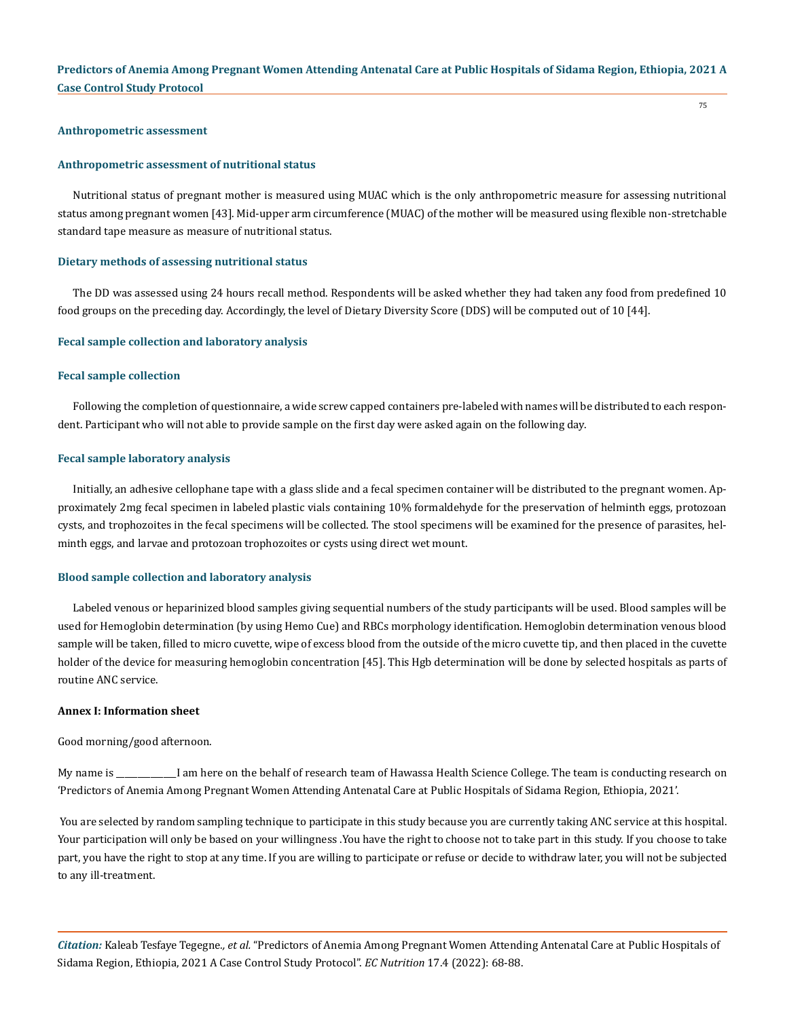75

#### **Anthropometric assessment**

#### **Anthropometric assessment of nutritional status**

Nutritional status of pregnant mother is measured using MUAC which is the only anthropometric measure for assessing nutritional status among pregnant women [43]. Mid-upper arm circumference (MUAC) of the mother will be measured using flexible non-stretchable standard tape measure as measure of nutritional status.

#### **Dietary methods of assessing nutritional status**

The DD was assessed using 24 hours recall method. Respondents will be asked whether they had taken any food from predefined 10 food groups on the preceding day. Accordingly, the level of Dietary Diversity Score (DDS) will be computed out of 10 [44].

#### **Fecal sample collection and laboratory analysis**

#### **Fecal sample collection**

Following the completion of questionnaire, a wide screw capped containers pre-labeled with names will be distributed to each respondent. Participant who will not able to provide sample on the first day were asked again on the following day.

#### **Fecal sample laboratory analysis**

Initially, an adhesive cellophane tape with a glass slide and a fecal specimen container will be distributed to the pregnant women. Approximately 2mg fecal specimen in labeled plastic vials containing 10% formaldehyde for the preservation of helminth eggs, protozoan cysts, and trophozoites in the fecal specimens will be collected. The stool specimens will be examined for the presence of parasites, helminth eggs, and larvae and protozoan trophozoites or cysts using direct wet mount.

#### **Blood sample collection and laboratory analysis**

Labeled venous or heparinized blood samples giving sequential numbers of the study participants will be used. Blood samples will be used for Hemoglobin determination (by using Hemo Cue) and RBCs morphology identification. Hemoglobin determination venous blood sample will be taken, filled to micro cuvette, wipe of excess blood from the outside of the micro cuvette tip, and then placed in the cuvette holder of the device for measuring hemoglobin concentration [45]. This Hgb determination will be done by selected hospitals as parts of routine ANC service.

### **Annex I: Information sheet**

#### Good morning/good afternoon.

My name is \_\_\_\_\_\_\_\_\_\_\_\_\_\_I am here on the behalf of research team of Hawassa Health Science College. The team is conducting research on 'Predictors of Anemia Among Pregnant Women Attending Antenatal Care at Public Hospitals of Sidama Region, Ethiopia, 2021'.

 You are selected by random sampling technique to participate in this study because you are currently taking ANC service at this hospital. Your participation will only be based on your willingness .You have the right to choose not to take part in this study. If you choose to take part, you have the right to stop at any time. If you are willing to participate or refuse or decide to withdraw later, you will not be subjected to any ill-treatment.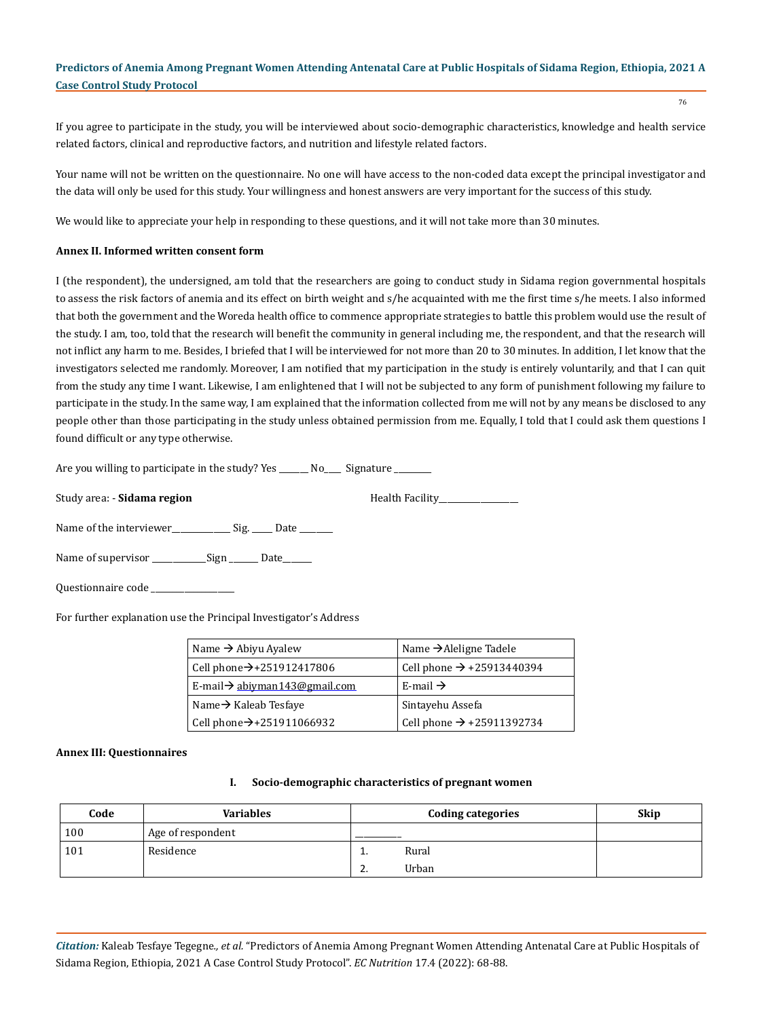76

If you agree to participate in the study, you will be interviewed about socio-demographic characteristics, knowledge and health service related factors, clinical and reproductive factors, and nutrition and lifestyle related factors.

Your name will not be written on the questionnaire. No one will have access to the non-coded data except the principal investigator and the data will only be used for this study. Your willingness and honest answers are very important for the success of this study.

We would like to appreciate your help in responding to these questions, and it will not take more than 30 minutes.

# **Annex II. Informed written consent form**

I (the respondent), the undersigned, am told that the researchers are going to conduct study in Sidama region governmental hospitals to assess the risk factors of anemia and its effect on birth weight and s/he acquainted with me the first time s/he meets. I also informed that both the government and the Woreda health office to commence appropriate strategies to battle this problem would use the result of the study. I am, too, told that the research will benefit the community in general including me, the respondent, and that the research will not inflict any harm to me. Besides, I briefed that I will be interviewed for not more than 20 to 30 minutes. In addition, I let know that the investigators selected me randomly. Moreover, I am notified that my participation in the study is entirely voluntarily, and that I can quit from the study any time I want. Likewise, I am enlightened that I will not be subjected to any form of punishment following my failure to participate in the study. In the same way, I am explained that the information collected from me will not by any means be disclosed to any people other than those participating in the study unless obtained permission from me. Equally, I told that I could ask them questions I found difficult or any type otherwise.

Are you willing to participate in the study? Yes \_\_\_\_\_\_ No\_\_\_ Signature \_\_\_\_\_\_\_

Study area: **- Sidama region Health Facility\_\_\_\_\_\_\_\_\_\_\_\_\_\_\_\_** 

Name of the interviewer\_\_\_\_\_\_\_\_\_\_\_\_\_\_\_\_\_\_Sig. \_\_\_\_\_\_ Date \_\_\_\_\_\_\_\_

Name of supervisor \_\_\_\_\_\_\_\_\_\_\_\_\_\_Sign \_\_\_\_\_\_\_ Date\_\_\_\_\_\_\_

Questionnaire code \_\_\_\_\_\_\_\_\_\_\_\_\_\_\_\_\_\_\_\_

For further explanation use the Principal Investigator's Address

| Name $\rightarrow$ Abiyu Ayalew           | Name $\rightarrow$ Aleligne Tadele    |
|-------------------------------------------|---------------------------------------|
| Cell phone $\rightarrow$ +251912417806    | Cell phone $\rightarrow$ +25913440394 |
| E-mail $\rightarrow$ abiyman143@gmail.com | E-mail $\rightarrow$                  |
| Name $\rightarrow$ Kaleab Tesfaye         | Sintayehu Assefa                      |
| Cell phone → +251911066932                | Cell phone $\rightarrow$ +25911392734 |

### **Annex III: Questionnaires**

# **I. Socio-demographic characteristics of pregnant women**

| Code | <b>Variables</b>  |            | <b>Coding categories</b> | <b>Skip</b> |
|------|-------------------|------------|--------------------------|-------------|
| 100  | Age of respondent |            |                          |             |
| 101  | Residence         | . .        | Rural                    |             |
|      |                   | <u>. .</u> | Urban                    |             |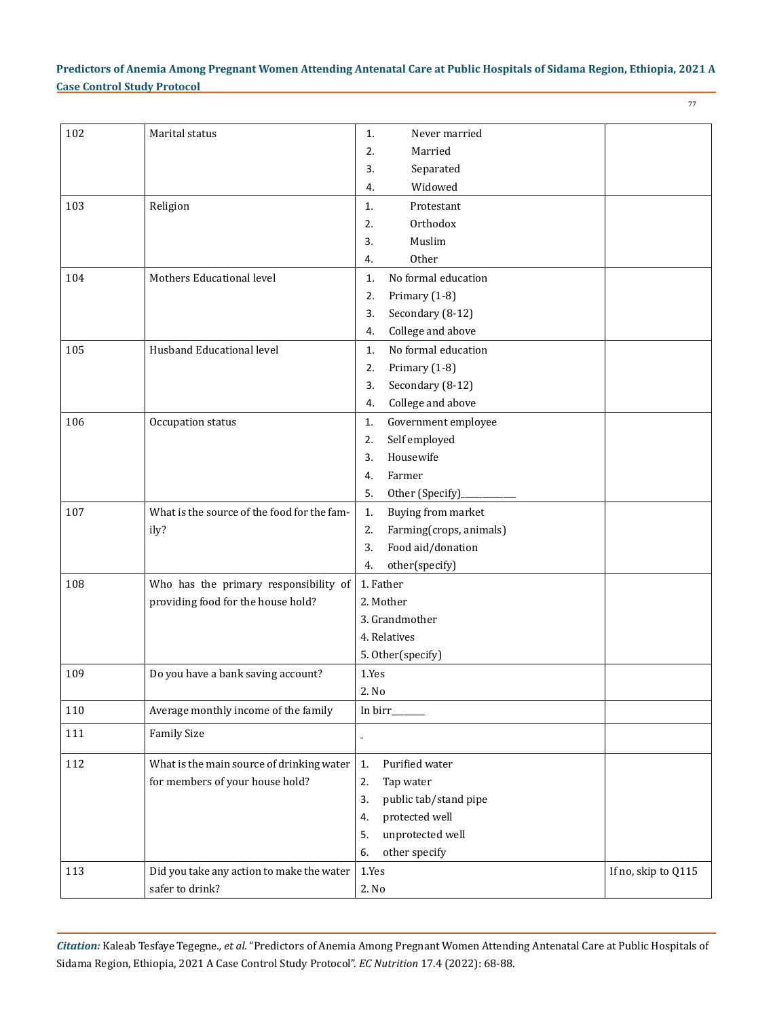77

| 102 | Marital status                              | Never married<br>1.           |                     |
|-----|---------------------------------------------|-------------------------------|---------------------|
|     |                                             | 2.<br>Married                 |                     |
|     |                                             | Separated<br>3.               |                     |
|     |                                             | Widowed<br>4.                 |                     |
| 103 | Religion                                    | Protestant<br>1.              |                     |
|     |                                             | Orthodox<br>2.                |                     |
|     |                                             | Muslim<br>3.                  |                     |
|     |                                             | Other<br>4.                   |                     |
| 104 | Mothers Educational level                   | No formal education<br>1.     |                     |
|     |                                             | Primary (1-8)<br>2.           |                     |
|     |                                             | Secondary (8-12)<br>3.        |                     |
|     |                                             | College and above<br>4.       |                     |
| 105 | <b>Husband Educational level</b>            | No formal education<br>1.     |                     |
|     |                                             | Primary (1-8)<br>2.           |                     |
|     |                                             | Secondary (8-12)<br>3.        |                     |
|     |                                             | College and above<br>4.       |                     |
| 106 | Occupation status                           | Government employee<br>1.     |                     |
|     |                                             | Self employed<br>2.           |                     |
|     |                                             | Housewife<br>3.               |                     |
|     |                                             | Farmer<br>4.                  |                     |
|     |                                             | Other (Specify)<br>5.         |                     |
| 107 | What is the source of the food for the fam- | Buying from market<br>1.      |                     |
|     | ily?                                        | 2.<br>Farming(crops, animals) |                     |
|     |                                             | Food aid/donation<br>3.       |                     |
|     |                                             | other(specify)<br>4.          |                     |
| 108 | Who has the primary responsibility of       | 1. Father                     |                     |
|     | providing food for the house hold?          | 2. Mother                     |                     |
|     |                                             | 3. Grandmother                |                     |
|     |                                             | 4. Relatives                  |                     |
|     |                                             | 5. Other(specify)             |                     |
| 109 | Do you have a bank saving account?          | 1.Yes                         |                     |
|     |                                             | 2. No                         |                     |
| 110 | Average monthly income of the family        | In birr_                      |                     |
| 111 | <b>Family Size</b>                          | ÷,                            |                     |
| 112 | What is the main source of drinking water   | Purified water<br>1.          |                     |
|     | for members of your house hold?             | 2.<br>Tap water               |                     |
|     |                                             | public tab/stand pipe<br>3.   |                     |
|     |                                             | protected well<br>4.          |                     |
|     |                                             | unprotected well<br>5.        |                     |
|     |                                             | other specify<br>6.           |                     |
| 113 | Did you take any action to make the water   | 1.Yes                         | If no, skip to Q115 |
|     | safer to drink?                             | 2. No                         |                     |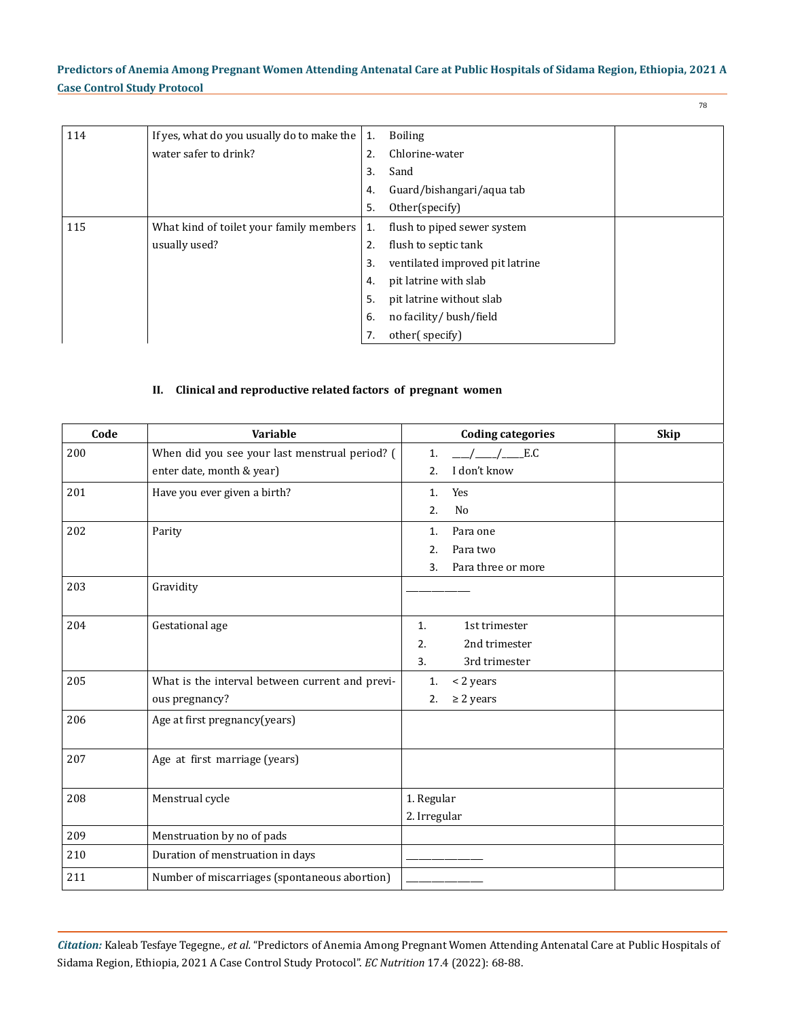78

| 114 | If yes, what do you usually do to make the | 1. | <b>Boiling</b>                  |  |
|-----|--------------------------------------------|----|---------------------------------|--|
|     | water safer to drink?                      | 2. | Chlorine-water                  |  |
|     |                                            | 3. | Sand                            |  |
|     |                                            | 4. | Guard/bishangari/aqua tab       |  |
|     |                                            | 5. | Other(specify)                  |  |
| 115 | What kind of toilet your family members    | 1. | flush to piped sewer system     |  |
|     | usually used?                              | 2. | flush to septic tank            |  |
|     |                                            | 3. | ventilated improved pit latrine |  |
|     |                                            | 4. | pit latrine with slab           |  |
|     |                                            | 5. | pit latrine without slab        |  |
|     |                                            | 6. | no facility/bush/field          |  |
|     |                                            | 7. | other(specify)                  |  |

# **II. Clinical and reproductive related factors of pregnant women**

| Code | <b>Variable</b>                                 | <b>Coding categories</b> | <b>Skip</b> |
|------|-------------------------------------------------|--------------------------|-------------|
| 200  | When did you see your last menstrual period? (  | $/$ E.C<br>1.            |             |
|      | enter date, month & year)                       | I don't know<br>2.       |             |
| 201  | Have you ever given a birth?                    | Yes<br>1.                |             |
|      |                                                 | No<br>2.                 |             |
| 202  | Parity                                          | Para one<br>1.           |             |
|      |                                                 | Para two<br>2.           |             |
|      |                                                 | Para three or more<br>3. |             |
| 203  | Gravidity                                       |                          |             |
|      |                                                 |                          |             |
| 204  | Gestational age                                 | 1st trimester<br>1.      |             |
|      |                                                 | 2nd trimester<br>2.      |             |
|      |                                                 | 3rd trimester<br>3.      |             |
| 205  | What is the interval between current and previ- | < 2 years<br>1.          |             |
|      | ous pregnancy?                                  | $\geq$ 2 years<br>2.     |             |
| 206  | Age at first pregnancy(years)                   |                          |             |
|      |                                                 |                          |             |
| 207  | Age at first marriage (years)                   |                          |             |
|      |                                                 |                          |             |
| 208  | Menstrual cycle                                 | 1. Regular               |             |
|      |                                                 | 2. Irregular             |             |
| 209  | Menstruation by no of pads                      |                          |             |
| 210  | Duration of menstruation in days                |                          |             |
| 211  | Number of miscarriages (spontaneous abortion)   |                          |             |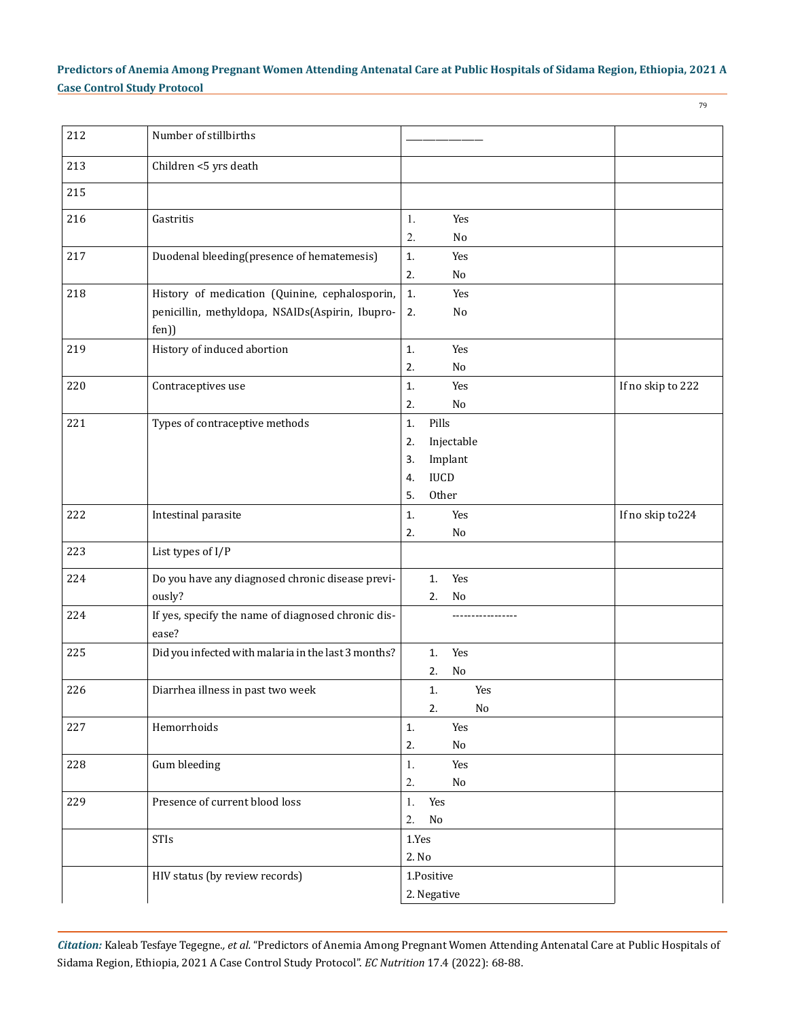79

| 212 | Number of stillbirths                                       |                             |                   |
|-----|-------------------------------------------------------------|-----------------------------|-------------------|
| 213 | Children <5 yrs death                                       |                             |                   |
| 215 |                                                             |                             |                   |
| 216 | Gastritis                                                   | 1.<br>Yes                   |                   |
| 217 | Duodenal bleeding(presence of hematemesis)                  | 2.<br>No<br>Yes<br>1.       |                   |
|     |                                                             | No<br>2.                    |                   |
| 218 | History of medication (Quinine, cephalosporin,              | 1.<br>Yes                   |                   |
|     | penicillin, methyldopa, NSAIDs(Aspirin, Ibupro-<br>fen))    | 2.<br>No                    |                   |
| 219 | History of induced abortion                                 | Yes<br>1.                   |                   |
|     |                                                             | $\rm No$<br>2.              |                   |
| 220 | Contraceptives use                                          | Yes<br>1.<br>No<br>2.       | If no skip to 222 |
| 221 | Types of contraceptive methods                              | Pills<br>1.                 |                   |
|     |                                                             | Injectable<br>2.            |                   |
|     |                                                             | Implant<br>3.               |                   |
|     |                                                             | <b>IUCD</b><br>4.           |                   |
|     |                                                             | 5.<br>Other                 |                   |
| 222 | Intestinal parasite                                         | Yes<br>1.                   | If no skip to 224 |
|     |                                                             | 2.<br>No                    |                   |
| 223 | List types of I/P                                           |                             |                   |
| 224 | Do you have any diagnosed chronic disease previ-            | Yes<br>1.                   |                   |
|     | ously?                                                      | 2.<br>No                    |                   |
| 224 | If yes, specify the name of diagnosed chronic dis-<br>ease? | .                           |                   |
| 225 | Did you infected with malaria in the last 3 months?         | Yes<br>1.                   |                   |
|     |                                                             | 2.<br>No                    |                   |
| 226 | Diarrhea illness in past two week                           | Yes<br>1.                   |                   |
|     |                                                             | 2.<br>$\rm No$              |                   |
| 227 | Hemorrhoids                                                 | Yes<br>1.                   |                   |
|     |                                                             | No<br>2.                    |                   |
| 228 | <b>Gum bleeding</b>                                         | Yes<br>1.<br>2.<br>$\rm No$ |                   |
| 229 | Presence of current blood loss                              | 1.<br>Yes                   |                   |
|     |                                                             | 2.<br>No                    |                   |
|     | STIs                                                        | 1.Yes                       |                   |
|     |                                                             | 2. No                       |                   |
|     | HIV status (by review records)                              | 1.Positive                  |                   |
|     |                                                             | 2. Negative                 |                   |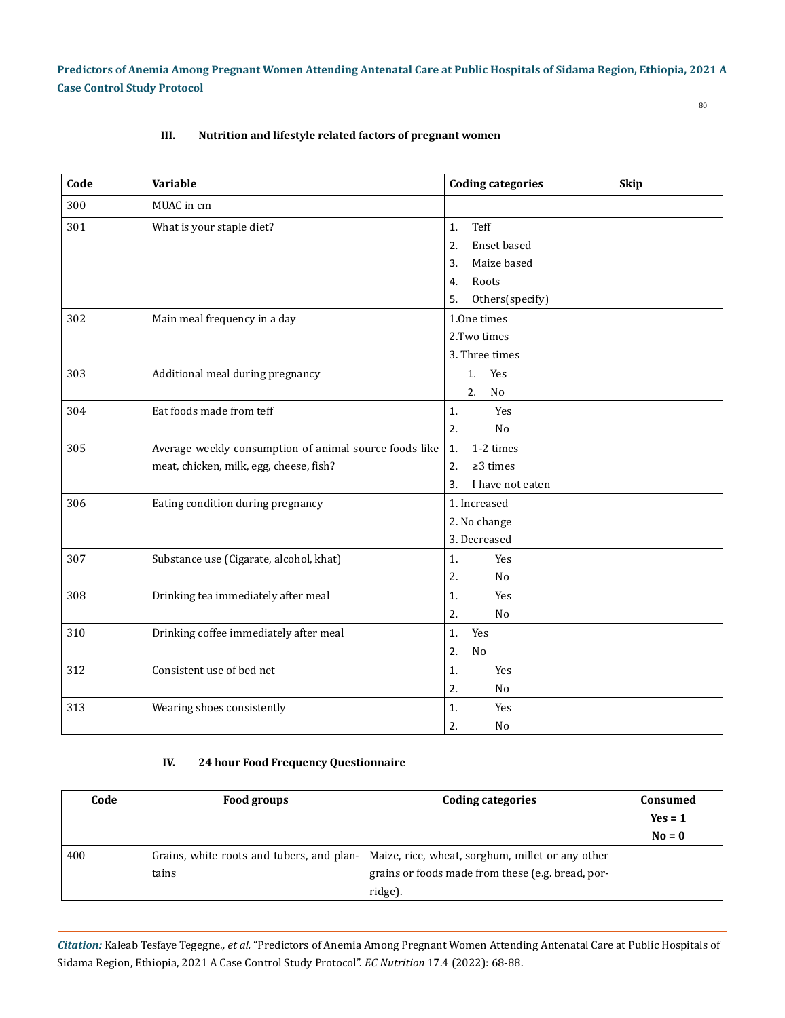80

# **III. Nutrition and lifestyle related factors of pregnant women**

| Code | <b>Variable</b>                                        | <b>Coding categories</b>    | <b>Skip</b> |
|------|--------------------------------------------------------|-----------------------------|-------------|
| 300  | MUAC in cm                                             |                             |             |
| 301  | What is your staple diet?                              | Teff<br>1.                  |             |
|      |                                                        | Enset based<br>2.           |             |
|      |                                                        | Maize based<br>3.           |             |
|      |                                                        | Roots<br>4.                 |             |
|      |                                                        | Others(specify)<br>5.       |             |
| 302  | Main meal frequency in a day                           | 1.0ne times                 |             |
|      |                                                        | 2.Two times                 |             |
|      |                                                        | 3. Three times              |             |
| 303  | Additional meal during pregnancy                       | Yes<br>1.                   |             |
|      |                                                        | No<br>2.                    |             |
| 304  | Eat foods made from teff                               | Yes<br>1.                   |             |
|      |                                                        | No<br>2.                    |             |
| 305  | Average weekly consumption of animal source foods like | 1-2 times<br>$\mathbf{1}$ . |             |
|      | meat, chicken, milk, egg, cheese, fish?                | $\geq$ 3 times<br>2.        |             |
|      |                                                        | 3.<br>I have not eaten      |             |
| 306  | Eating condition during pregnancy                      | 1. Increased                |             |
|      |                                                        | 2. No change                |             |
|      |                                                        | 3. Decreased                |             |
| 307  | Substance use (Cigarate, alcohol, khat)                | Yes<br>1.                   |             |
|      |                                                        | 2.<br>No                    |             |
| 308  | Drinking tea immediately after meal                    | Yes<br>1.                   |             |
|      |                                                        | No<br>2.                    |             |
| 310  | Drinking coffee immediately after meal                 | Yes<br>1.                   |             |
|      |                                                        | No<br>2.                    |             |
| 312  | Consistent use of bed net                              | Yes<br>1.                   |             |
|      |                                                        | No<br>2.                    |             |
| 313  | Wearing shoes consistently                             | 1.<br>Yes                   |             |
|      |                                                        | No<br>2.                    |             |

# **IV. 24 hour Food Frequency Questionnaire**

| Code | Food groups                               | Coding categories                                 | Consumed  |
|------|-------------------------------------------|---------------------------------------------------|-----------|
|      |                                           |                                                   | $Yes = 1$ |
|      |                                           |                                                   | $N0 = 0$  |
| 400  | Grains, white roots and tubers, and plan- | Maize, rice, wheat, sorghum, millet or any other  |           |
|      | tains                                     | grains or foods made from these (e.g. bread, por- |           |
|      |                                           | ridge).                                           |           |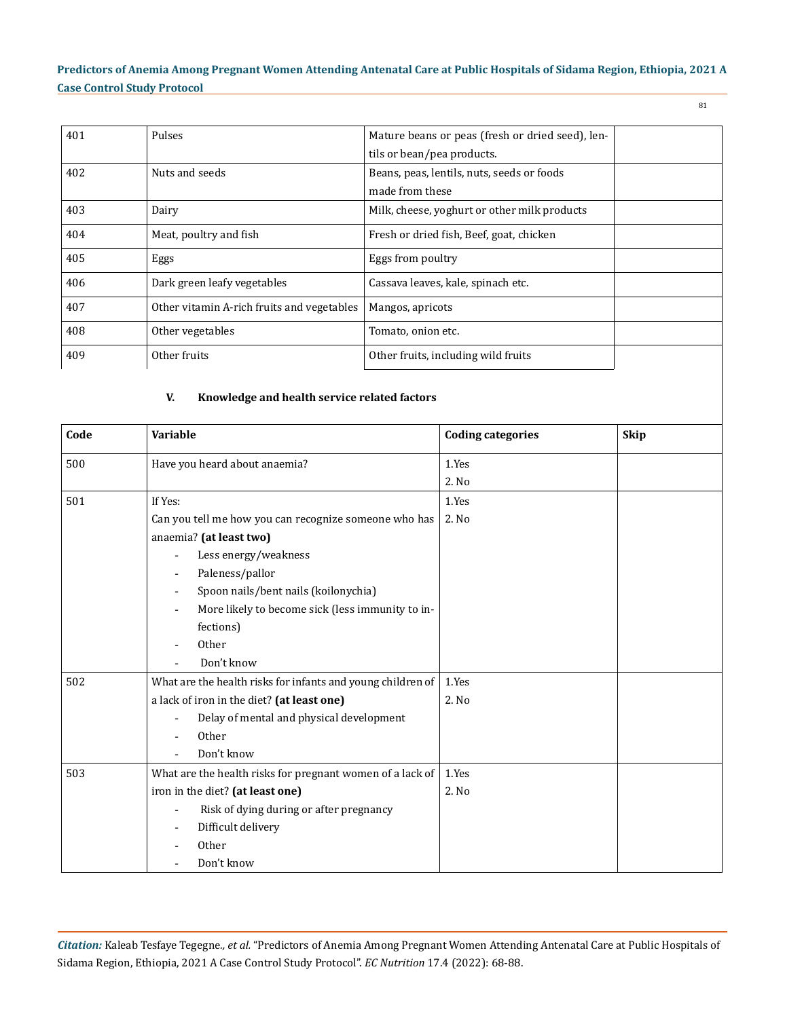81

| 401 | Pulses                                     | Mature beans or peas (fresh or dried seed), len- |  |
|-----|--------------------------------------------|--------------------------------------------------|--|
|     |                                            | tils or bean/pea products.                       |  |
| 402 | Nuts and seeds                             | Beans, peas, lentils, nuts, seeds or foods       |  |
|     |                                            | made from these                                  |  |
| 403 | Dairy                                      | Milk, cheese, yoghurt or other milk products     |  |
| 404 | Meat, poultry and fish                     | Fresh or dried fish, Beef, goat, chicken         |  |
| 405 | Eggs                                       | Eggs from poultry                                |  |
| 406 | Dark green leafy vegetables                | Cassava leaves, kale, spinach etc.               |  |
| 407 | Other vitamin A-rich fruits and vegetables | Mangos, apricots                                 |  |
| 408 | Other vegetables                           | Tomato, onion etc.                               |  |
| 409 | Other fruits                               | Other fruits, including wild fruits              |  |
|     |                                            |                                                  |  |

# **V. Knowledge and health service related factors**

| Code | <b>Variable</b>                                             | <b>Coding categories</b> | <b>Skip</b> |
|------|-------------------------------------------------------------|--------------------------|-------------|
| 500  | Have you heard about anaemia?                               | 1.Yes                    |             |
|      |                                                             | 2. No                    |             |
| 501  | If Yes:                                                     | 1.Yes                    |             |
|      | Can you tell me how you can recognize someone who has       | 2. No                    |             |
|      | anaemia? (at least two)                                     |                          |             |
|      | Less energy/weakness                                        |                          |             |
|      | Paleness/pallor                                             |                          |             |
|      | Spoon nails/bent nails (koilonychia)                        |                          |             |
|      | More likely to become sick (less immunity to in-            |                          |             |
|      | fections)                                                   |                          |             |
|      | Other                                                       |                          |             |
|      | Don't know                                                  |                          |             |
| 502  | What are the health risks for infants and young children of | 1.Yes                    |             |
|      | a lack of iron in the diet? (at least one)                  | 2. No                    |             |
|      | Delay of mental and physical development                    |                          |             |
|      | Other                                                       |                          |             |
|      | Don't know                                                  |                          |             |
| 503  | What are the health risks for pregnant women of a lack of   | 1.Yes                    |             |
|      | iron in the diet? (at least one)                            | 2. No                    |             |
|      | Risk of dying during or after pregnancy                     |                          |             |
|      | Difficult delivery                                          |                          |             |
|      | Other                                                       |                          |             |
|      | Don't know                                                  |                          |             |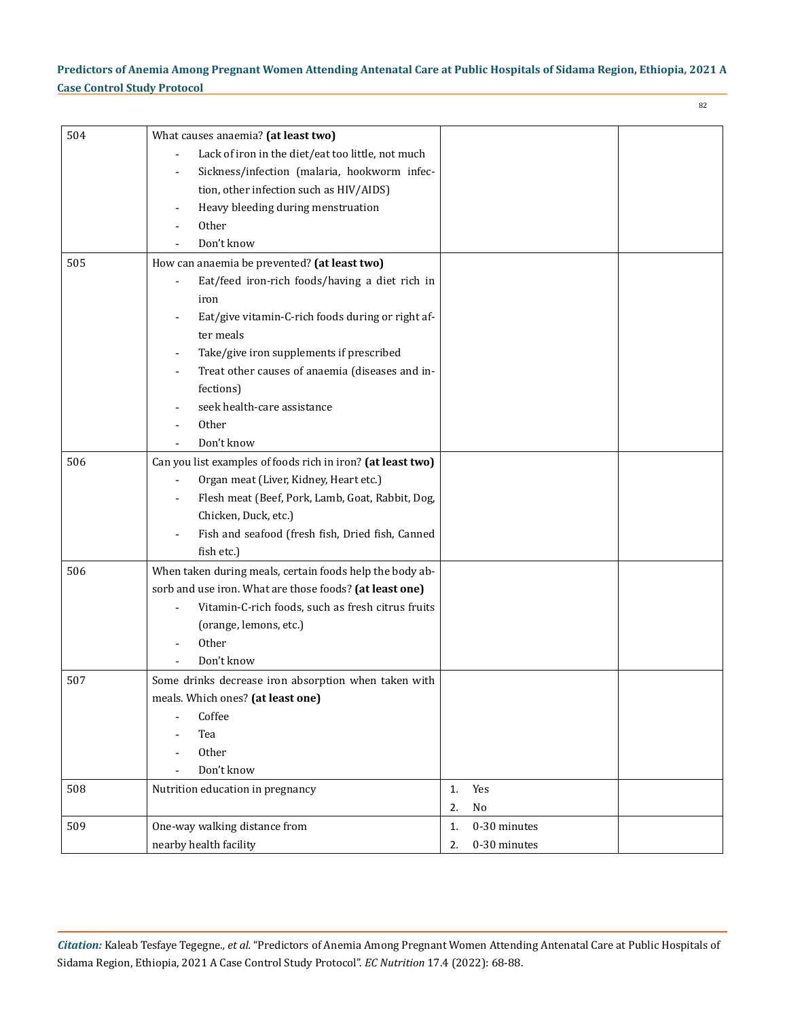| 504 |                                                                               |                    |  |
|-----|-------------------------------------------------------------------------------|--------------------|--|
|     | What causes anaemia? (at least two)                                           |                    |  |
|     | Lack of iron in the diet/eat too little, not much<br>$\overline{\phantom{a}}$ |                    |  |
|     | Sickness/infection (malaria, hookworm infec-                                  |                    |  |
|     | tion, other infection such as HIV/AIDS)                                       |                    |  |
|     | Heavy bleeding during menstruation<br>$\overline{\phantom{a}}$                |                    |  |
|     | Other                                                                         |                    |  |
|     | Don't know                                                                    |                    |  |
| 505 | How can anaemia be prevented? (at least two)                                  |                    |  |
|     | Eat/feed iron-rich foods/having a diet rich in<br>iron                        |                    |  |
|     | Eat/give vitamin-C-rich foods during or right af-                             |                    |  |
|     | ter meals                                                                     |                    |  |
|     | Take/give iron supplements if prescribed<br>$\overline{\phantom{a}}$          |                    |  |
|     | Treat other causes of anaemia (diseases and in-                               |                    |  |
|     | fections)                                                                     |                    |  |
|     | seek health-care assistance                                                   |                    |  |
|     | Other                                                                         |                    |  |
|     | Don't know                                                                    |                    |  |
| 506 | Can you list examples of foods rich in iron? (at least two)                   |                    |  |
|     | Organ meat (Liver, Kidney, Heart etc.)                                        |                    |  |
|     | Flesh meat (Beef, Pork, Lamb, Goat, Rabbit, Dog,<br>$\overline{\phantom{a}}$  |                    |  |
|     | Chicken, Duck, etc.)                                                          |                    |  |
|     | Fish and seafood (fresh fish, Dried fish, Canned                              |                    |  |
|     | fish etc.)                                                                    |                    |  |
| 506 | When taken during meals, certain foods help the body ab-                      |                    |  |
|     | sorb and use iron. What are those foods? (at least one)                       |                    |  |
|     | Vitamin-C-rich foods, such as fresh citrus fruits<br>$\overline{\phantom{m}}$ |                    |  |
|     | (orange, lemons, etc.)                                                        |                    |  |
|     | Other                                                                         |                    |  |
|     | Don't know                                                                    |                    |  |
| 507 | Some drinks decrease iron absorption when taken with                          |                    |  |
|     | meals. Which ones? (at least one)                                             |                    |  |
|     | Coffee                                                                        |                    |  |
|     | Tea                                                                           |                    |  |
|     | Other                                                                         |                    |  |
|     | Don't know                                                                    |                    |  |
| 508 | Nutrition education in pregnancy                                              | Yes<br>1.          |  |
|     |                                                                               | No<br>2.           |  |
| 509 | One-way walking distance from                                                 | 0-30 minutes<br>1. |  |
|     | nearby health facility                                                        | 0-30 minutes<br>2. |  |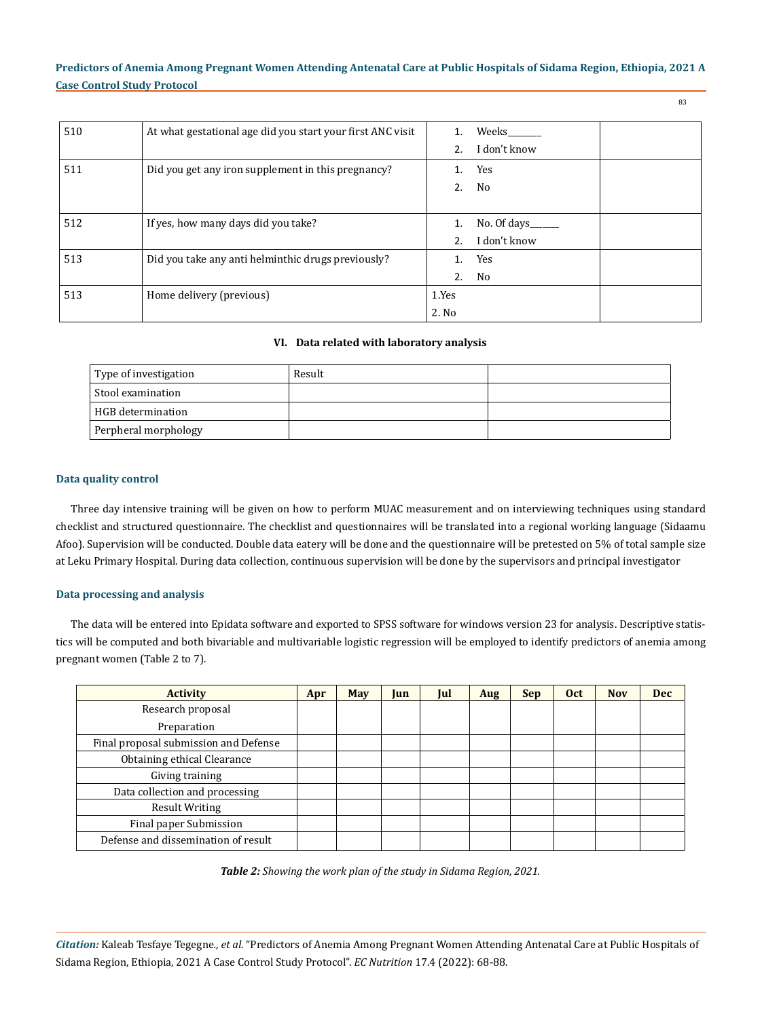83

| 510 | At what gestational age did you start your first ANC visit | Weeks<br>1.<br>I don't know<br>2.                        |
|-----|------------------------------------------------------------|----------------------------------------------------------|
| 511 | Did you get any iron supplement in this pregnancy?         | Yes<br>1.<br>2.<br>No                                    |
| 512 | If yes, how many days did you take?                        | No. Of days_____<br>1.<br>I don't know<br>2 <sub>1</sub> |
| 513 | Did you take any anti helminthic drugs previously?         | Yes<br>1.<br>2.<br>No                                    |
| 513 | Home delivery (previous)                                   | 1.Yes<br>2. No                                           |

# **VI. Data related with laboratory analysis**

| Type of investigation | Result |  |
|-----------------------|--------|--|
| Stool examination     |        |  |
| HGB determination     |        |  |
| Perpheral morphology  |        |  |

# **Data quality control**

Three day intensive training will be given on how to perform MUAC measurement and on interviewing techniques using standard checklist and structured questionnaire. The checklist and questionnaires will be translated into a regional working language (Sidaamu Afoo). Supervision will be conducted. Double data eatery will be done and the questionnaire will be pretested on 5% of total sample size at Leku Primary Hospital. During data collection, continuous supervision will be done by the supervisors and principal investigator

### **Data processing and analysis**

The data will be entered into Epidata software and exported to SPSS software for windows version 23 for analysis. Descriptive statistics will be computed and both bivariable and multivariable logistic regression will be employed to identify predictors of anemia among pregnant women (Table 2 to 7).

| <b>Activity</b>                       | Apr | <b>May</b> | Jun | Jul | Aug | <b>Sep</b> | <b>Oct</b> | <b>Nov</b> | <b>Dec</b> |
|---------------------------------------|-----|------------|-----|-----|-----|------------|------------|------------|------------|
| Research proposal                     |     |            |     |     |     |            |            |            |            |
| Preparation                           |     |            |     |     |     |            |            |            |            |
| Final proposal submission and Defense |     |            |     |     |     |            |            |            |            |
| Obtaining ethical Clearance           |     |            |     |     |     |            |            |            |            |
| Giving training                       |     |            |     |     |     |            |            |            |            |
| Data collection and processing        |     |            |     |     |     |            |            |            |            |
| <b>Result Writing</b>                 |     |            |     |     |     |            |            |            |            |
| Final paper Submission                |     |            |     |     |     |            |            |            |            |
| Defense and dissemination of result   |     |            |     |     |     |            |            |            |            |

*Table 2: Showing the work plan of the study in Sidama Region, 2021.*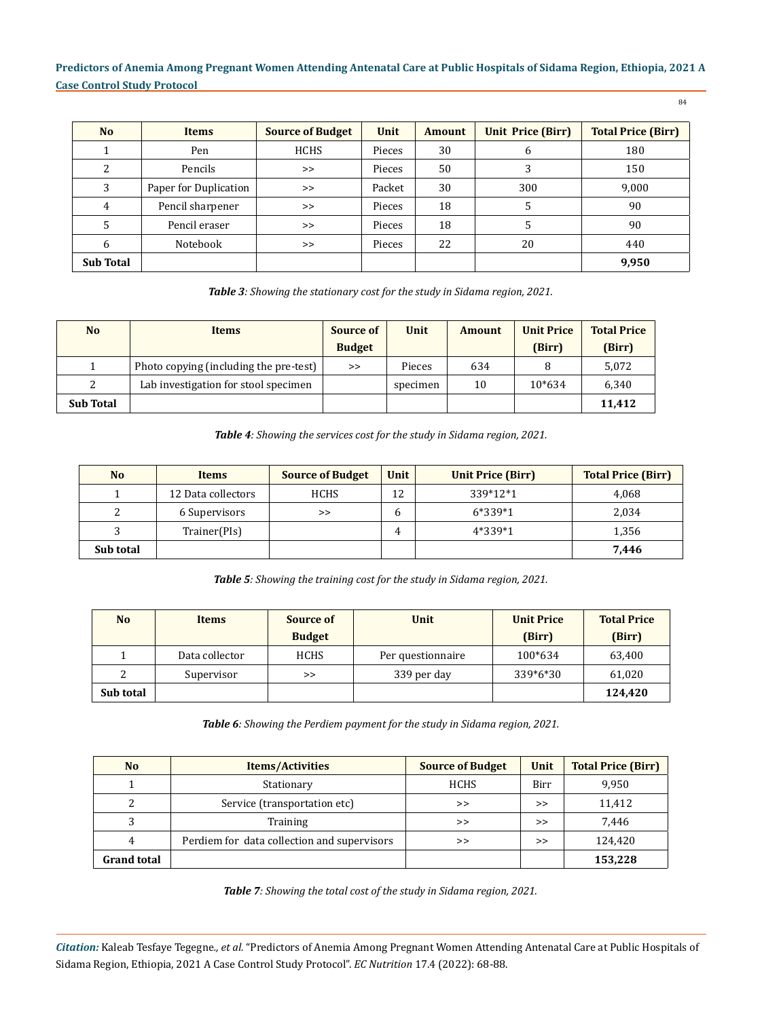84

| <b>No</b>        | <b>Items</b>          | <b>Source of Budget</b> | Unit   | <b>Amount</b> | <b>Unit Price (Birr)</b> | <b>Total Price (Birr)</b> |
|------------------|-----------------------|-------------------------|--------|---------------|--------------------------|---------------------------|
|                  | Pen                   | <b>HCHS</b>             | Pieces | 30            | b                        | 180                       |
|                  | Pencils               | $\gt$                   | Pieces | 50            |                          | 150                       |
| 3                | Paper for Duplication | $\gt$                   | Packet | 30            | 300                      | 9,000                     |
| 4                | Pencil sharpener      | >                       | Pieces | 18            |                          | 90                        |
|                  | Pencil eraser         | >                       | Pieces | 18            |                          | 90                        |
| 6                | Notebook              | >                       | Pieces | 22            | 20                       | 440                       |
| <b>Sub Total</b> |                       |                         |        |               |                          | 9,950                     |

*Table 3: Showing the stationary cost for the study in Sidama region, 2021.*

| N <sub>o</sub>   | <b>Items</b>                           | <b>Source of</b> | Unit     | <b>Amount</b> | <b>Unit Price</b> | <b>Total Price</b> |
|------------------|----------------------------------------|------------------|----------|---------------|-------------------|--------------------|
|                  |                                        | <b>Budget</b>    |          |               | (Birr)            | (Birr)             |
|                  | Photo copying (including the pre-test) | >                | Pieces   | 634           | 8                 | 5,072              |
| 2                | Lab investigation for stool specimen   |                  | specimen | 10            | 10*634            | 6,340              |
| <b>Sub Total</b> |                                        |                  |          |               |                   | 11,412             |

*Table 4: Showing the services cost for the study in Sidama region, 2021.*

| N <sub>o</sub> | <b>Items</b>       | <b>Source of Budget</b> | Unit | <b>Unit Price (Birr)</b> | <b>Total Price (Birr)</b> |
|----------------|--------------------|-------------------------|------|--------------------------|---------------------------|
|                | 12 Data collectors | <b>HCHS</b>             | 12   | 339*12*1                 | 4,068                     |
| $\mathcal{P}$  | 6 Supervisors      | >                       | h    | 6*339*1                  | 2,034                     |
| 3              | Trainer(PIs)       |                         | 4    | 4*339*1                  | 1,356                     |
| Sub total      |                    |                         |      |                          | 7,446                     |

*Table 5: Showing the training cost for the study in Sidama region, 2021.*

| N <sub>o</sub> | <b>Items</b>   | Source of     | Unit              | <b>Unit Price</b> | <b>Total Price</b> |
|----------------|----------------|---------------|-------------------|-------------------|--------------------|
|                |                | <b>Budget</b> |                   | (Birr)            | (Birr)             |
|                | Data collector | <b>HCHS</b>   | Per questionnaire | 100*634           | 63,400             |
| 2              | Supervisor     | >             | 339 per day       | 339*6*30          | 61,020             |
| Sub total      |                |               |                   |                   | 124,420            |

*Table 6: Showing the Perdiem payment for the study in Sidama region, 2021.*

| <b>No</b>          | <b>Items/Activities</b>                     | <b>Source of Budget</b> | Unit | <b>Total Price (Birr)</b> |
|--------------------|---------------------------------------------|-------------------------|------|---------------------------|
|                    | Stationary                                  | <b>HCHS</b>             | Birr | 9,950                     |
| 2                  | Service (transportation etc)                | >                       | >    | 11,412                    |
| 3                  | Training                                    | >                       | >    | 7.446                     |
| $\overline{4}$     | Perdiem for data collection and supervisors | >                       | >    | 124,420                   |
| <b>Grand total</b> |                                             |                         |      | 153,228                   |

*Table 7: Showing the total cost of the study in Sidama region, 2021.*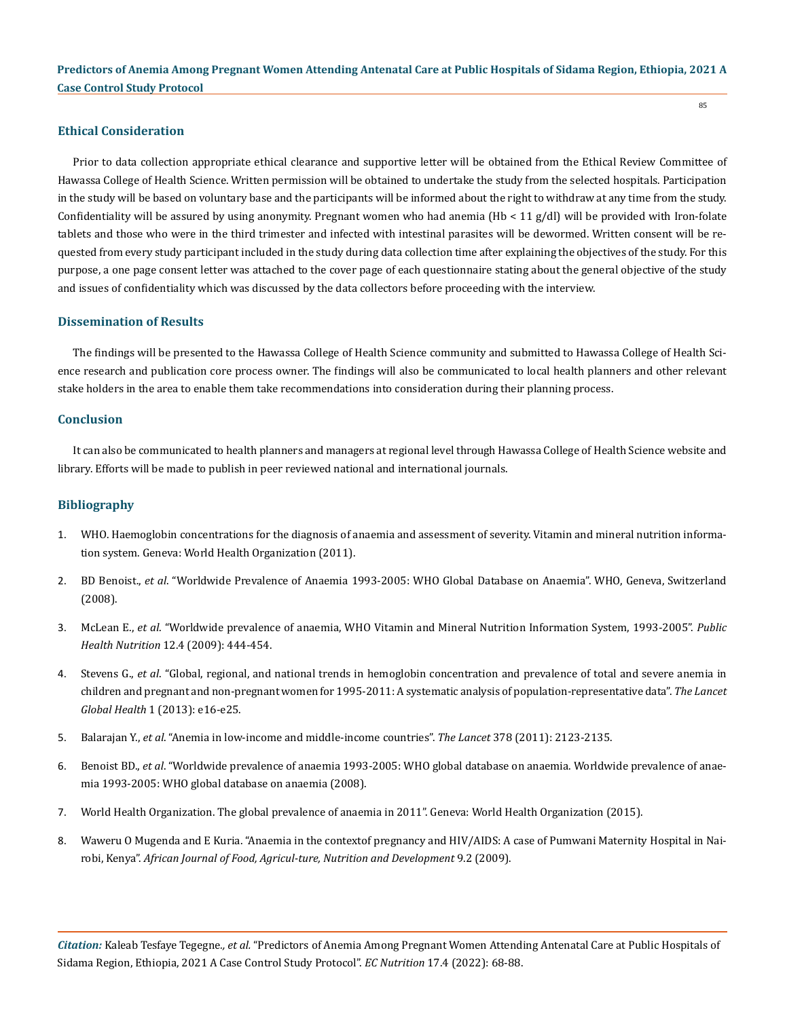### **Ethical Consideration**

Prior to data collection appropriate ethical clearance and supportive letter will be obtained from the Ethical Review Committee of Hawassa College of Health Science. Written permission will be obtained to undertake the study from the selected hospitals. Participation in the study will be based on voluntary base and the participants will be informed about the right to withdraw at any time from the study. Confidentiality will be assured by using anonymity. Pregnant women who had anemia  $(Hb < 11 g/dl)$  will be provided with Iron-folate tablets and those who were in the third trimester and infected with intestinal parasites will be dewormed. Written consent will be requested from every study participant included in the study during data collection time after explaining the objectives of the study. For this purpose, a one page consent letter was attached to the cover page of each questionnaire stating about the general objective of the study and issues of confidentiality which was discussed by the data collectors before proceeding with the interview.

### **Dissemination of Results**

The findings will be presented to the Hawassa College of Health Science community and submitted to Hawassa College of Health Science research and publication core process owner. The findings will also be communicated to local health planners and other relevant stake holders in the area to enable them take recommendations into consideration during their planning process.

# **Conclusion**

It can also be communicated to health planners and managers at regional level through Hawassa College of Health Science website and library. Efforts will be made to publish in peer reviewed national and international journals.

### **Bibliography**

- 1. [WHO. Haemoglobin concentrations for the diagnosis of anaemia and assessment of severity. Vitamin and mineral nutrition informa](https://www.who.int/vmnis/indicators/haemoglobin.pdf)[tion system. Geneva: World Health Organization \(2011\).](https://www.who.int/vmnis/indicators/haemoglobin.pdf)
- 2. BD Benoist., *et al*[. "Worldwide Prevalence of Anaemia 1993-2005: WHO Global Database on Anaemia". WHO, Geneva, Switzerland](https://apps.who.int/iris/handle/10665/43894)  [\(2008\).](https://apps.who.int/iris/handle/10665/43894)
- 3. McLean E., *et al*[. "Worldwide prevalence of anaemia, WHO Vitamin and Mineral Nutrition Information System, 1993-2005".](https://pubmed.ncbi.nlm.nih.gov/18498676/) *Public Health Nutrition* [12.4 \(2009\): 444-454.](https://pubmed.ncbi.nlm.nih.gov/18498676/)
- 4. Stevens G., *et al*[. "Global, regional, and national trends in hemoglobin concentration and prevalence of total and severe anemia in](https://pubmed.ncbi.nlm.nih.gov/25103581/)  [children and pregnant and non-pregnant women for 1995-2011: A systematic analysis of population-representative data".](https://pubmed.ncbi.nlm.nih.gov/25103581/) *The Lancet Global Health* [1 \(2013\): e16-e25.](https://pubmed.ncbi.nlm.nih.gov/25103581/)
- 5. Balarajan Y., *et al*[. "Anemia in low-income and middle-income countries".](https://pubmed.ncbi.nlm.nih.gov/21813172/) *The Lancet* 378 (2011): 2123-2135.
- 6. Benoist BD., *et al*[. "Worldwide prevalence of anaemia 1993-2005: WHO global database on anaemia. Worldwide prevalence of anae](http://apps.who.int/iris/bitstream/handle/10665/43894/9789241596657_eng.pdf?sequence=1)[mia 1993-2005: WHO global database on anaemia \(2008\).](http://apps.who.int/iris/bitstream/handle/10665/43894/9789241596657_eng.pdf?sequence=1)
- 7. [World Health Organization. The global prevalence of anaemia in 2011". Geneva: World Health Organization \(2015\).](https://apps.who.int/iris/handle/10665/177094)
- 8. [Waweru O Mugenda and E Kuria. "Anaemia in the contextof pregnancy and HIV/AIDS: A case of Pumwani Maternity Hospital in Nai](https://www.ajol.info/index.php/ajfand/article/view/19226)robi, Kenya". *[African Journal of Food, Agricul-ture, Nutrition and Development](https://www.ajol.info/index.php/ajfand/article/view/19226)* 9.2 (2009).

*Citation:* Kaleab Tesfaye Tegegne*., et al.* "Predictors of Anemia Among Pregnant Women Attending Antenatal Care at Public Hospitals of Sidama Region, Ethiopia, 2021 A Case Control Study Protocol". *EC Nutrition* 17.4 (2022): 68-88.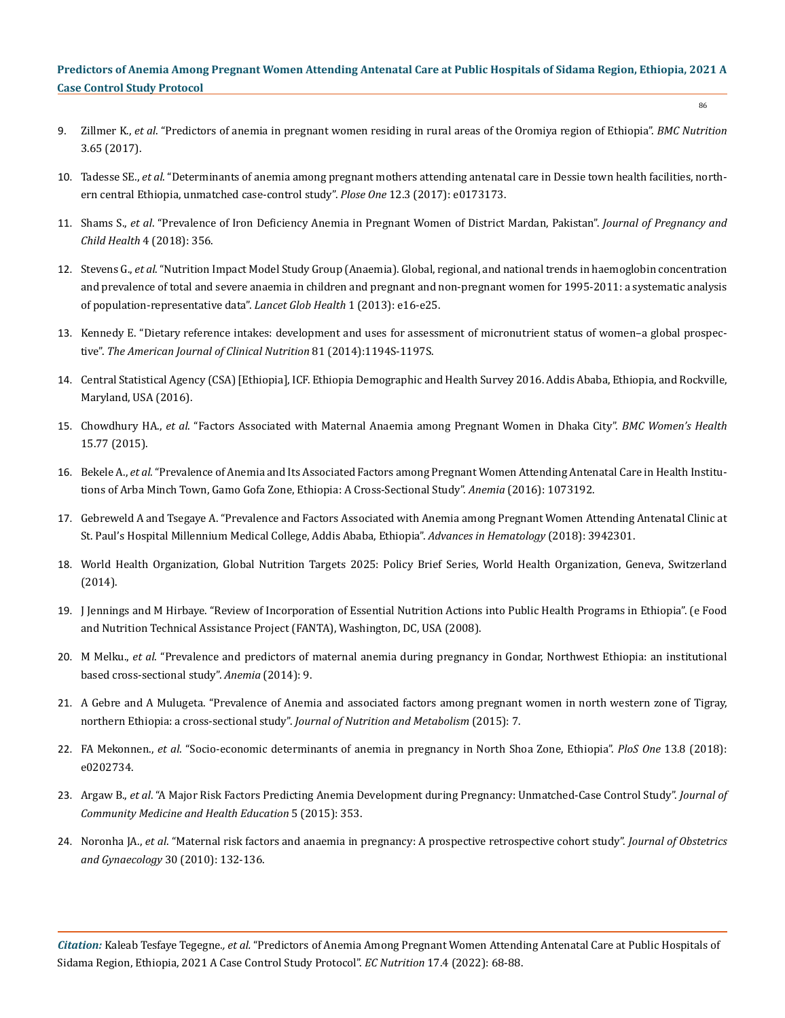86

- 9. Zillmer K., *et al*[. "Predictors of anemia in pregnant women residing in rural areas of the Oromiya region of Ethiopia".](https://bmcnutr.biomedcentral.com/articles/10.1186/s40795-017-0166-y) *BMC Nutrition*  [3.65 \(2017\).](https://bmcnutr.biomedcentral.com/articles/10.1186/s40795-017-0166-y)
- 10. Tadesse SE., *et al*[. "Determinants of anemia among pregnant mothers attending antenatal care in Dessie town health facilities, north](https://pubmed.ncbi.nlm.nih.gov/28288159/)[ern central Ethiopia, unmatched case-control study".](https://pubmed.ncbi.nlm.nih.gov/28288159/) *Plose One* 12.3 (2017): e0173173.
- 11. Shams S., *et al*[. "Prevalence of Iron Deficiency Anemia in Pregnant Women of District Mardan, Pakistan".](https://www.omicsonline.org/peer-reviewed/prevalence-of-iron-deficiency-anemia-in-pregnant-women-of-district-mardan-pakistanp-95475.html) *Journal of Pregnancy and [Child Health](https://www.omicsonline.org/peer-reviewed/prevalence-of-iron-deficiency-anemia-in-pregnant-women-of-district-mardan-pakistanp-95475.html)* 4 (2018): 356.
- 12. Stevens G., *et al*. "Nutrition Impact Model Study Group (Anaemia). Global, regional, and national trends in haemoglobin concentration and prevalence of total and severe anaemia in children and pregnant and non-pregnant women for 1995-2011: a systematic analysis of population-representative data". *Lancet Glob Health* 1 (2013): e16-e25.
- 13. [Kennedy E. "Dietary reference intakes: development and uses for assessment of micronutrient status of women–a global prospec](https://pubmed.ncbi.nlm.nih.gov/15883451/)tive". *[The American Journal of Clinical Nutrition](https://pubmed.ncbi.nlm.nih.gov/15883451/)* 81 (2014):1194S-1197S.
- 14. [Central Statistical Agency \(CSA\) \[Ethiopia\], ICF. Ethiopia Demographic and Health Survey 2016. Addis Ababa, Ethiopia, and Rockville,](https://dhsprogram.com/pubs/pdf/FR328/FR328.pdf) [Maryland, USA \(2016\).](https://dhsprogram.com/pubs/pdf/FR328/FR328.pdf)
- 15. Chowdhury HA., *et al*[. "Factors Associated with Maternal Anaemia among Pregnant Women in Dhaka City".](https://bmcwomenshealth.biomedcentral.com/articles/10.1186/s12905-015-0234-x) *BMC Women's Health* [15.77 \(2015\).](https://bmcwomenshealth.biomedcentral.com/articles/10.1186/s12905-015-0234-x)
- 16. Bekele A., *et al*[. "Prevalence of Anemia and Its Associated Factors among Pregnant Women Attending Antenatal Care in Health Institu](https://pubmed.ncbi.nlm.nih.gov/27022481/)[tions of Arba Minch Town, Gamo Gofa Zone, Ethiopia: A Cross-Sectional Study".](https://pubmed.ncbi.nlm.nih.gov/27022481/) *Anemia* (2016): 1073192.
- 17. [Gebreweld A and Tsegaye A. "Prevalence and Factors Associated with Anemia among Pregnant Women Attending Antenatal Clinic at](https://www.hindawi.com/journals/ah/2018/3942301/) [St. Paul's Hospital Millennium Medical College, Addis Ababa, Ethiopia".](https://www.hindawi.com/journals/ah/2018/3942301/) *Advances in Hematology* (2018): 3942301.
- 18. [World Health Organization, Global Nutrition Targets 2025: Policy Brief Series, World Health Organization, Geneva, Switzerland](https://www.who.int/publications-detail-redirect/WHO-NMH-NHD-14.2) [\(2014\).](https://www.who.int/publications-detail-redirect/WHO-NMH-NHD-14.2)
- 19. [J Jennings and M Hirbaye. "Review of Incorporation of Essential Nutrition Actions into Public Health Programs in Ethiopia". \(e Food](https://www.fantaproject.org/sites/default/files/resources/FANTA-Review-Incorporation-ENA-Jan2008.pdf) [and Nutrition Technical Assistance Project \(FANTA\), Washington, DC, USA \(2008\).](https://www.fantaproject.org/sites/default/files/resources/FANTA-Review-Incorporation-ENA-Jan2008.pdf)
- 20. M Melku., *et al*[. "Prevalence and predictors of maternal anemia during pregnancy in Gondar, Northwest Ethiopia: an institutional](https://www.researchgate.net/publication/261106516_Prevalence_and_Predictors_of_Maternal_Anemia_during_Pregnancy_in_Gondar_Northwest_Ethiopia_An_Institutional_Based_Cross-Sectional_Study) [based cross-sectional study".](https://www.researchgate.net/publication/261106516_Prevalence_and_Predictors_of_Maternal_Anemia_during_Pregnancy_in_Gondar_Northwest_Ethiopia_An_Institutional_Based_Cross-Sectional_Study) *Anemia* (2014): 9.
- 21. [A Gebre and A Mulugeta. "Prevalence of Anemia and associated factors among pregnant women in north western zone of Tigray,](https://www.ncbi.nlm.nih.gov/pmc/articles/PMC4475559/) northern Ethiopia: a cross-sectional study". *[Journal of Nutrition and Metabolism](https://www.ncbi.nlm.nih.gov/pmc/articles/PMC4475559/)* (2015): 7.
- 22. FA Mekonnen., *et al*[. "Socio-economic determinants of anemia in pregnancy in North Shoa Zone, Ethiopia".](https://journals.plos.org/plosone/article?id=10.1371/journal.pone.0202734) *PloS One* 13.8 (2018): [e0202734.](https://journals.plos.org/plosone/article?id=10.1371/journal.pone.0202734)
- 23. Argaw B., *et al*[. "A Major Risk Factors Predicting Anemia Development during Pregnancy: Unmatched-Case Control Study".](https://www.researchgate.net/publication/279973414_Major_Risk_Factors_Predicting_Anemia_Development_during_Pregnancy_Unmatched-Case_Control_Study) *Journal of [Community Medicine and Health Education](https://www.researchgate.net/publication/279973414_Major_Risk_Factors_Predicting_Anemia_Development_during_Pregnancy_Unmatched-Case_Control_Study)* 5 (2015): 353.
- 24. Noronha JA., *et al*[. "Maternal risk factors and anaemia in pregnancy: A prospective retrospective cohort study".](https://pubmed.ncbi.nlm.nih.gov/20143970/) *Journal of Obstetrics and Gynaecology* [30 \(2010\): 132-136.](https://pubmed.ncbi.nlm.nih.gov/20143970/)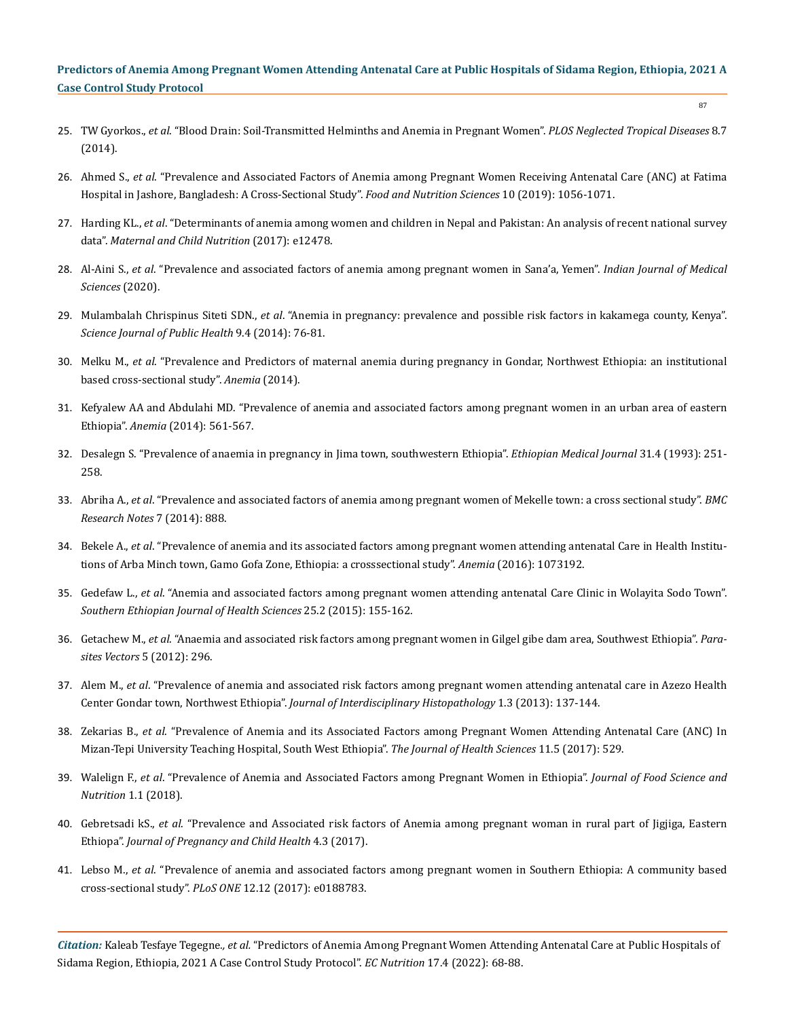- 25. TW Gyorkos., *et al*[. "Blood Drain: Soil-Transmitted Helminths and Anemia in Pregnant Women".](https://www.ncbi.nlm.nih.gov/pmc/articles/PMC4091787/) *PLOS Neglected Tropical Diseases* 8.7 [\(2014\).](https://www.ncbi.nlm.nih.gov/pmc/articles/PMC4091787/)
- 26. Ahmed S., *et al*[. "Prevalence and Associated Factors of Anemia among Pregnant Women Receiving Antenatal Care \(ANC\) at Fatima](https://www.scirp.org/Journal/paperabs.aspx?paperid=94846) [Hospital in Jashore, Bangladesh: A Cross-Sectional Study".](https://www.scirp.org/Journal/paperabs.aspx?paperid=94846) *Food and Nutrition Sciences* 10 (2019): 1056-1071.
- 27. Harding KL., *et al*[. "Determinants of anemia among women and children in Nepal and Pakistan: An analysis of recent national survey](https://pubmed.ncbi.nlm.nih.gov/28857410/) data". *[Maternal and Child Nutrition](https://pubmed.ncbi.nlm.nih.gov/28857410/)* (2017): e12478.
- 28. Al-Aini S., *et al*[. "Prevalence and associated factors of anemia among pregnant women in Sana'a, Yemen".](https://ijmsweb.com/prevalence-and-associated-factors-of-anemia-among-pregnant-women-in-sanaa-yemen-2/) *Indian Journal of Medical [Sciences](https://ijmsweb.com/prevalence-and-associated-factors-of-anemia-among-pregnant-women-in-sanaa-yemen-2/)* (2020).
- 29. Mulambalah Chrispinus Siteti SDN., *et al*[. "Anemia in pregnancy: prevalence and possible risk factors in kakamega county, Kenya".](https://www.sciencepublishinggroup.com/journal/paperinfo.aspx?journalid=251&doi=10.11648/j.sjph.20140203.23) *[Science Journal of Public Health](https://www.sciencepublishinggroup.com/journal/paperinfo.aspx?journalid=251&doi=10.11648/j.sjph.20140203.23)* 9.4 (2014): 76-81.
- 30. Melku M., *et al*[. "Prevalence and Predictors of maternal anemia during pregnancy in Gondar, Northwest Ethiopia: an institutional](https://www.researchgate.net/publication/261106516_Prevalence_and_Predictors_of_Maternal_Anemia_during_Pregnancy_in_Gondar_Northwest_Ethiopia_An_Institutional_Based_Cross-Sectional_Study) [based cross-sectional study".](https://www.researchgate.net/publication/261106516_Prevalence_and_Predictors_of_Maternal_Anemia_during_Pregnancy_in_Gondar_Northwest_Ethiopia_An_Institutional_Based_Cross-Sectional_Study) *Anemia* (2014).
- 31. [Kefyalew AA and Abdulahi MD. "Prevalence of anemia and associated factors among pregnant women in an urban area of eastern](https://www.researchgate.net/publication/265606740_Prevalence_of_Anemia_and_Associated_Factors_among_Pregnant_Women_in_an_Urban_Area_of_Eastern_Ethiopia) Ethiopia". *Anemia* [\(2014\): 561-567.](https://www.researchgate.net/publication/265606740_Prevalence_of_Anemia_and_Associated_Factors_among_Pregnant_Women_in_an_Urban_Area_of_Eastern_Ethiopia)
- 32. [Desalegn S. "Prevalence of anaemia in pregnancy in Jima town, southwestern Ethiopia".](https://www.unboundmedicine.com/medline/citation/8287859/Prevalence_of_anaemia_in_pregnancy_in_Jima_town_southwestern_Ethiopia_) *Ethiopian Medical Journal* 31.4 (1993): 251- [258.](https://www.unboundmedicine.com/medline/citation/8287859/Prevalence_of_anaemia_in_pregnancy_in_Jima_town_southwestern_Ethiopia_)
- 33. Abriha A., *et al*[. "Prevalence and associated factors of anemia among pregnant women of Mekelle town: a cross sectional study".](https://bmcresnotes.biomedcentral.com/articles/10.1186/1756-0500-7-888) *BMC [Research Notes](https://bmcresnotes.biomedcentral.com/articles/10.1186/1756-0500-7-888)* 7 (2014): 888.
- 34. Bekele A., *et al*[. "Prevalence of anemia and its associated factors among pregnant women attending antenatal Care in Health Institu](https://pubmed.ncbi.nlm.nih.gov/27022481/)[tions of Arba Minch town, Gamo Gofa Zone, Ethiopia: a crosssectional study".](https://pubmed.ncbi.nlm.nih.gov/27022481/) *Anemia* (2016): 1073192.
- 35. Gedefaw L., *et al*[. "Anemia and associated factors among pregnant women attending antenatal Care Clinic in Wolayita Sodo Town".](https://www.ncbi.nlm.nih.gov/pmc/articles/PMC4478267/) *[Southern Ethiopian Journal of Health Sciences](https://www.ncbi.nlm.nih.gov/pmc/articles/PMC4478267/)* 25.2 (2015): 155-162.
- 36. Getachew M., *et al*[. "Anaemia and associated risk factors among pregnant women in Gilgel gibe dam area, Southwest Ethiopia".](https://pubmed.ncbi.nlm.nih.gov/23244514/) *Parasites Vectors* [5 \(2012\): 296.](https://pubmed.ncbi.nlm.nih.gov/23244514/)
- 37. Alem M., *et al*[. "Prevalence of anemia and associated risk factors among pregnant women attending antenatal care in Azezo Health](https://www.researchgate.net/publication/273562888_Prevalence_of_Anemia_and_Associated_Risk_Factors_among_Pregnant_Women_Attending_Antenatal_Care_in_Azezo_Health_Center_Gondar_Town_Northwest_Ethiopia) Center Gondar town, Northwest Ethiopia". *[Journal of Interdisciplinary Histopathology](https://www.researchgate.net/publication/273562888_Prevalence_of_Anemia_and_Associated_Risk_Factors_among_Pregnant_Women_Attending_Antenatal_Care_in_Azezo_Health_Center_Gondar_Town_Northwest_Ethiopia)* 1.3 (2013): 137-144.
- 38. Zekarias B., *et al*[. "Prevalence of Anemia and its Associated Factors among Pregnant Women Attending Antenatal Care \(ANC\) In](https://www.ncbi.nlm.nih.gov/pmc/articles/PMC7547419/) [Mizan-Tepi University Teaching Hospital, South West Ethiopia".](https://www.ncbi.nlm.nih.gov/pmc/articles/PMC7547419/) *The Journal of Health Sciences* 11.5 (2017): 529.
- 39. Walelign F., *et al*[. "Prevalence of Anemia and Associated Factors among Pregnant Women in Ethiopia".](https://bmcresnotes.biomedcentral.com/articles/10.1186/s13104-019-4347-4) *Journal of Food Science and Nutrition* [1.1 \(2018\).](https://bmcresnotes.biomedcentral.com/articles/10.1186/s13104-019-4347-4)
- 40. Gebretsadi kS., *et al*[. "Prevalence and Associated risk factors of Anemia among pregnant woman in rural part of Jigjiga, Eastern](https://www.researchgate.net/publication/318058642_Prevalence_and_Associated_Risk_Factors_of_Anemia_among_Pregnant_Women_in_Rural_Part_of_JigJiga_City_Eastern_Ethiopia_A_Cross_Sectional_Study) Ethiopa". *[Journal of Pregnancy and Child Health](https://www.researchgate.net/publication/318058642_Prevalence_and_Associated_Risk_Factors_of_Anemia_among_Pregnant_Women_in_Rural_Part_of_JigJiga_City_Eastern_Ethiopia_A_Cross_Sectional_Study)* 4.3 (2017).
- 41. Lebso M., *et al*[. "Prevalence of anemia and associated factors among pregnant women in Southern Ethiopia: A community based](https://pubmed.ncbi.nlm.nih.gov/29228009/) cross-sectional study". *PLoS ONE* [12.12 \(2017\): e0188783.](https://pubmed.ncbi.nlm.nih.gov/29228009/)

*Citation:* Kaleab Tesfaye Tegegne*., et al.* "Predictors of Anemia Among Pregnant Women Attending Antenatal Care at Public Hospitals of Sidama Region, Ethiopia, 2021 A Case Control Study Protocol". *EC Nutrition* 17.4 (2022): 68-88.